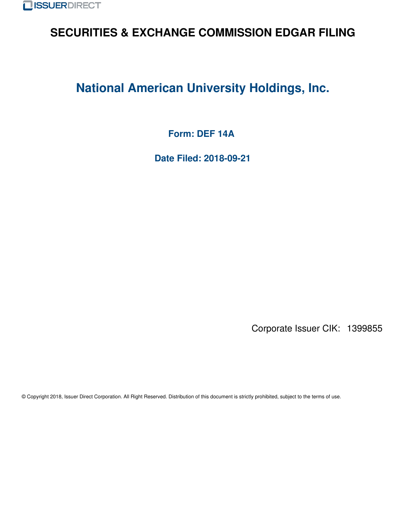

# **SECURITIES & EXCHANGE COMMISSION EDGAR FILING**

# **National American University Holdings, Inc.**

**Form: DEF 14A**

**Date Filed: 2018-09-21**

Corporate Issuer CIK: 1399855

© Copyright 2018, Issuer Direct Corporation. All Right Reserved. Distribution of this document is strictly prohibited, subject to the terms of use.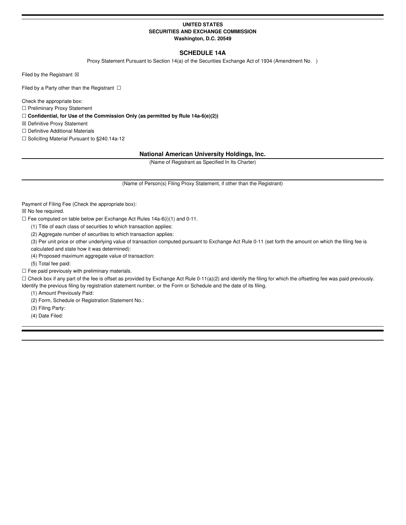# **UNITED STATES SECURITIES AND EXCHANGE COMMISSION Washington, D.C. 20549**

# **SCHEDULE 14A**

Proxy Statement Pursuant to Section 14(a) of the Securities Exchange Act of 1934 (Amendment No. )

Filed by the Registrant  $\boxtimes$ 

Filed by a Party other than the Registrant  $\Box$ 

Check the appropriate box:

☐ Preliminary Proxy Statement

☐ **Confidential, for Use of the Commission Only (as permitted by Rule 14a-6(e)(2))**

☒ Definitive Proxy Statement

☐ Definitive Additional Materials

☐ Soliciting Material Pursuant to §240.14a-12

# **National American University Holdings, Inc.**

(Name of Registrant as Specified In Its Charter)

(Name of Person(s) Filing Proxy Statement, if other than the Registrant)

Payment of Filing Fee (Check the appropriate box):

☒ No fee required.

☐ Fee computed on table below per Exchange Act Rules 14a-6(i)(1) and 0-11.

(1) Title of each class of securities to which transaction applies:

(2) Aggregate number of securities to which transaction applies:

(3) Per unit price or other underlying value of transaction computed pursuant to Exchange Act Rule 0-11 (set forth the amount on which the filing fee is

calculated and state how it was determined):

(4) Proposed maximum aggregate value of transaction:

(5) Total fee paid:

 $\Box$  Fee paid previously with preliminary materials.

 $\Box$  Check box if any part of the fee is offset as provided by Exchange Act Rule 0-11(a)(2) and identify the filing for which the offsetting fee was paid previously.

Identify the previous filing by registration statement number, or the Form or Schedule and the date of its filing.

(1) Amount Previously Paid:

(2) Form, Schedule or Registration Statement No.:

(3) Filing Party:

(4) Date Filed: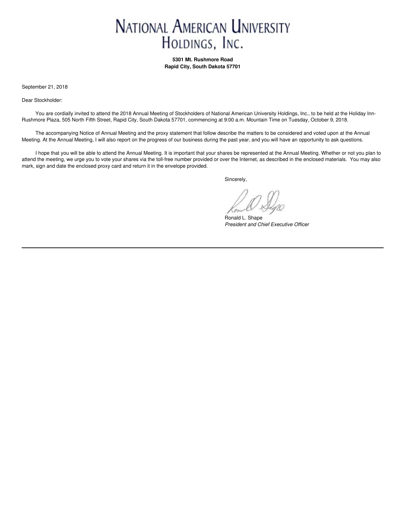# **NATIONAL AMERICAN UNIVERSITY** HOLDINGS, INC.

**5301 Mt. Rushmore Road Rapid City, South Dakota 57701**

September 21, 2018

Dear Stockholder:

You are cordially invited to attend the 2018 Annual Meeting of Stockholders of National American University Holdings, Inc., to be held at the Holiday Inn-Rushmore Plaza, 505 North Fifth Street, Rapid City, South Dakota 57701, commencing at 9:00 a.m. Mountain Time on Tuesday, October 9, 2018.

The accompanying Notice of Annual Meeting and the proxy statement that follow describe the matters to be considered and voted upon at the Annual Meeting. At the Annual Meeting, I will also report on the progress of our business during the past year, and you will have an opportunity to ask questions.

I hope that you will be able to attend the Annual Meeting. It is important that your shares be represented at the Annual Meeting. Whether or not you plan to attend the meeting, we urge you to vote your shares via the toll-free number provided or over the Internet, as described in the enclosed materials. You may also mark, sign and date the enclosed proxy card and return it in the envelope provided.

Sincerely,

Ronald L. Shape *President and Chief Executive Officer*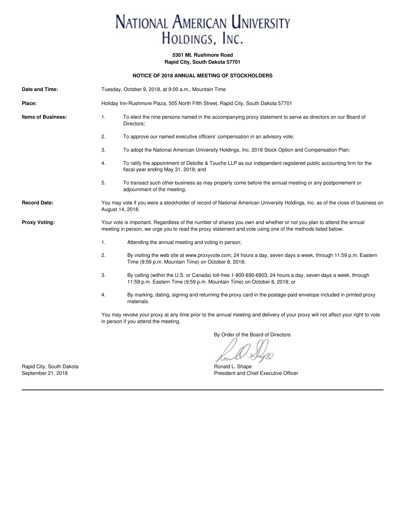# NATIONAL AMERICAN UNIVERSITY HOLDINGS, INC.

# **5301 Mt. Rushmore Road**

**Rapid City, South Dakota 57701**

# **NOTICE OF 2018 ANNUAL MEETING OF STOCKHOLDERS**

| Date and Time:            | Tuesday, October 9, 2018, at 9:00 a.m., Mountain Time                                                                                                                                                                             |                                                                                                                                                                                         |  |  |
|---------------------------|-----------------------------------------------------------------------------------------------------------------------------------------------------------------------------------------------------------------------------------|-----------------------------------------------------------------------------------------------------------------------------------------------------------------------------------------|--|--|
| Place:                    | Holiday Inn-Rushmore Plaza, 505 North Fifth Street, Rapid City, South Dakota 57701                                                                                                                                                |                                                                                                                                                                                         |  |  |
| <b>Items of Business:</b> | 1.<br>To elect the nine persons named in the accompanying proxy statement to serve as directors on our Board of<br>Directors;                                                                                                     |                                                                                                                                                                                         |  |  |
|                           | 2.                                                                                                                                                                                                                                | To approve our named executive officers' compensation in an advisory vote;                                                                                                              |  |  |
|                           | 3.                                                                                                                                                                                                                                | To adopt the National American University Holdings, Inc. 2018 Stock Option and Compensation Plan;                                                                                       |  |  |
|                           | 4.                                                                                                                                                                                                                                | To ratify the appointment of Deloitte & Touche LLP as our independent registered public accounting firm for the<br>fiscal year ending May 31, 2019; and                                 |  |  |
|                           | 5.                                                                                                                                                                                                                                | To transact such other business as may properly come before the annual meeting or any postponement or<br>adjournment of the meeting.                                                    |  |  |
| <b>Record Date:</b>       | You may vote if you were a stockholder of record of National American University Holdings, Inc. as of the close of business on<br>August 14, 2018.                                                                                |                                                                                                                                                                                         |  |  |
| <b>Proxy Voting:</b>      | Your vote is important. Regardless of the number of shares you own and whether or not you plan to attend the annual<br>meeting in person, we urge you to read the proxy statement and vote using one of the methods listed below: |                                                                                                                                                                                         |  |  |
|                           | 1.                                                                                                                                                                                                                                | Attending the annual meeting and voting in person;                                                                                                                                      |  |  |
|                           | 2.                                                                                                                                                                                                                                | By visiting the web site at www.proxyvote.com, 24 hours a day, seven days a week, through 11:59 p.m. Eastern<br>Time (9:59 p.m. Mountain Time) on October 8, 2018;                      |  |  |
|                           | 3.                                                                                                                                                                                                                                | By calling (within the U.S. or Canada) toll-free 1-800-690-6903, 24 hours a day, seven days a week, through<br>11:59 p.m. Eastern Time (9:59 p.m. Mountain Time) on October 8, 2018; or |  |  |
|                           | 4.                                                                                                                                                                                                                                | By marking, dating, signing and returning the proxy card in the postage-paid envelope included in printed proxy<br>materials.                                                           |  |  |
|                           |                                                                                                                                                                                                                                   | You may revoke your proxy at any time prior to the annual meeting and delivery of your proxy will not affect your right to vote<br>in person if you attend the meeting.                 |  |  |

By Order of the Board of Directors

Con

President and Chief Executive Officer

Papid City, South Dakota **Ronald L. Shape** Ronald L. Shape Ronald L. Shape Ronald L. Shape Ronald L. Shape Ronald L. Shape Ronald Ch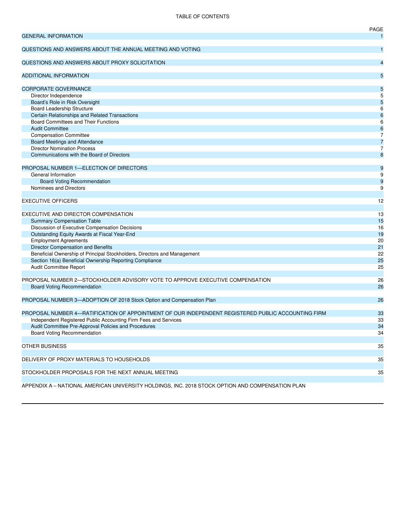# TABLE OF CONTENTS

|                                                                                                    | PAGE             |
|----------------------------------------------------------------------------------------------------|------------------|
| <b>GENERAL INFORMATION</b>                                                                         | $\mathbf{1}$     |
| QUESTIONS AND ANSWERS ABOUT THE ANNUAL MEETING AND VOTING                                          | $\mathbf{1}$     |
| QUESTIONS AND ANSWERS ABOUT PROXY SOLICITATION                                                     | $\overline{4}$   |
| <b>ADDITIONAL INFORMATION</b>                                                                      | 5                |
| <b>CORPORATE GOVERNANCE</b>                                                                        | 5                |
| Director Independence                                                                              | 5                |
| Board's Role in Risk Oversight                                                                     | $\overline{5}$   |
| <b>Board Leadership Structure</b>                                                                  | 6                |
| Certain Relationships and Related Transactions                                                     | $6\phantom{1}6$  |
| Board Committees and Their Functions                                                               | 6                |
| <b>Audit Committee</b>                                                                             | $6\phantom{1}6$  |
| <b>Compensation Committee</b>                                                                      | 7                |
| Board Meetings and Attendance                                                                      | $\overline{7}$   |
| <b>Director Nomination Process</b>                                                                 | $\overline{7}$   |
| Communications with the Board of Directors                                                         | 8                |
|                                                                                                    |                  |
| PROPOSAL NUMBER 1-ELECTION OF DIRECTORS                                                            | $\boldsymbol{9}$ |
| General Information                                                                                | 9                |
| <b>Board Voting Recommendation</b>                                                                 | $\boldsymbol{9}$ |
| Nominees and Directors                                                                             | 9                |
|                                                                                                    |                  |
| <b>EXECUTIVE OFFICERS</b>                                                                          | 12               |
| EXECUTIVE AND DIRECTOR COMPENSATION                                                                | 13               |
| <b>Summary Compensation Table</b>                                                                  | 15               |
|                                                                                                    | 16               |
| Discussion of Executive Compensation Decisions<br>Outstanding Equity Awards at Fiscal Year-End     | 19               |
| <b>Employment Agreements</b>                                                                       | 20               |
| Director Compensation and Benefits                                                                 | 21               |
| Beneficial Ownership of Principal Stockholders, Directors and Management                           | 22               |
| Section 16(a) Beneficial Ownership Reporting Compliance                                            | 25               |
| Audit Committee Report                                                                             | 25               |
|                                                                                                    |                  |
| PROPOSAL NUMBER 2-STOCKHOLDER ADVISORY VOTE TO APPROVE EXECUTIVE COMPENSATION                      | 26               |
| <b>Board Voting Recommendation</b>                                                                 | 26               |
|                                                                                                    |                  |
| PROPOSAL NUMBER 3-ADOPTION OF 2018 Stock Option and Compensation Plan                              | 26               |
|                                                                                                    |                  |
| PROPOSAL NUMBER 4-RATIFICATION OF APPOINTMENT OF OUR INDEPENDENT REGISTERED PUBLIC ACCOUNTING FIRM | 33               |
| Independent Registered Public Accounting Firm Fees and Services                                    | 33               |
| Audit Committee Pre-Approval Policies and Procedures                                               | 34               |
| Board Voting Recommendation                                                                        | 34               |
|                                                                                                    |                  |
| OTHER BUSINESS                                                                                     | 35               |
| DELIVERY OF PROXY MATERIALS TO HOUSEHOLDS                                                          | 35               |
|                                                                                                    |                  |
| STOCKHOLDER PROPOSALS FOR THE NEXT ANNUAL MEETING                                                  | 35               |
|                                                                                                    |                  |
|                                                                                                    |                  |

APPENDIX A – NATIONAL AMERICAN UNIVERSITY HOLDINGS, INC. 2018 STOCK OPTION AND COMPENSATION PLAN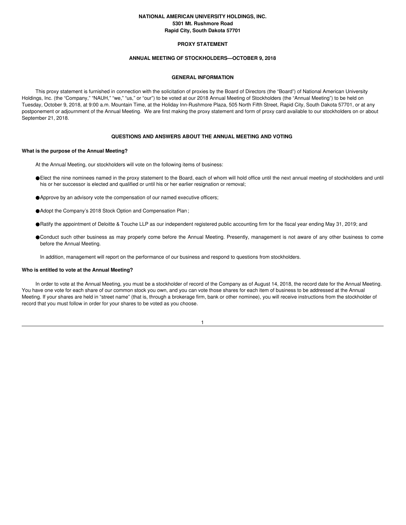# **NATIONAL AMERICAN UNIVERSITY HOLDINGS, INC. 5301 Mt. Rushmore Road Rapid City, South Dakota 57701**

# **PROXY STATEMENT**

# **ANNUAL MEETING OF STOCKHOLDERS—OCTOBER 9, 2018**

### **GENERAL INFORMATION**

This proxy statement is furnished in connection with the solicitation of proxies by the Board of Directors (the "Board") of National American University Holdings, Inc. (the "Company," "NAUH," "we," "us," or "our") to be voted at our 2018 Annual Meeting of Stockholders (the "Annual Meeting") to be held on Tuesday, October 9, 2018, at 9:00 a.m. Mountain Time, at the Holiday Inn-Rushmore Plaza, 505 North Fifth Street, Rapid City, South Dakota 57701, or at any postponement or adjournment of the Annual Meeting. We are first making the proxy statement and form of proxy card available to our stockholders on or about September 21, 2018.

# **QUESTIONS AND ANSWERS ABOUT THE ANNUAL MEETING AND VOTING**

#### **What is the purpose of the Annual Meeting?**

- At the Annual Meeting, our stockholders will vote on the following items of business:
- ●Elect the nine nominees named in the proxy statement to the Board, each of whom will hold office until the next annual meeting of stockholders and until his or her successor is elected and qualified or until his or her earlier resignation or removal;
- ●Approve by an advisory vote the compensation of our named executive officers;
- ●Adopt the Company's 2018 Stock Option and Compensation Plan;
- ●Ratify the appointment of Deloitte & Touche LLP as our independent registered public accounting firm for the fiscal year ending May 31, 2019; and
- ●Conduct such other business as may properly come before the Annual Meeting. Presently, management is not aware of any other business to come before the Annual Meeting.
- In addition, management will report on the performance of our business and respond to questions from stockholders.

#### **Who is entitled to vote at the Annual Meeting?**

In order to vote at the Annual Meeting, you must be a stockholder of record of the Company as of August 14, 2018, the record date for the Annual Meeting. You have one vote for each share of our common stock you own, and you can vote those shares for each item of business to be addressed at the Annual Meeting. If your shares are held in "street name" (that is, through a brokerage firm, bank or other nominee), you will receive instructions from the stockholder of record that you must follow in order for your shares to be voted as you choose.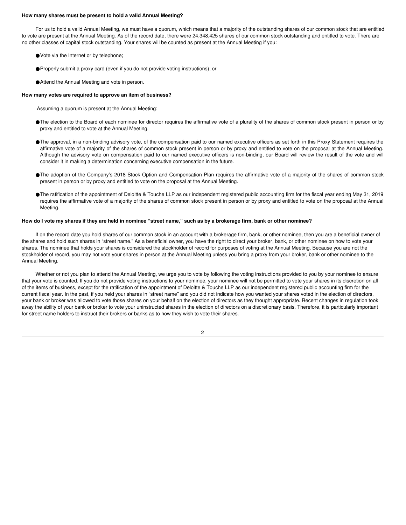#### **How many shares must be present to hold a valid Annual Meeting?**

For us to hold a valid Annual Meeting, we must have a quorum, which means that a majority of the outstanding shares of our common stock that are entitled to vote are present at the Annual Meeting. As of the record date, there were 24,348,425 shares of our common stock outstanding and entitled to vote. There are no other classes of capital stock outstanding. Your shares will be counted as present at the Annual Meeting if you:

- ●Vote via the Internet or by telephone;
- ●Properly submit a proxy card (even if you do not provide voting instructions); or
- ●Attend the Annual Meeting and vote in person.

# **How many votes are required to approve an item of business?**

- Assuming a quorum is present at the Annual Meeting:
- ●The election to the Board of each nominee for director requires the affirmative vote of a plurality of the shares of common stock present in person or by proxy and entitled to vote at the Annual Meeting.
- ●The approval, in a non-binding advisory vote, of the compensation paid to our named executive officers as set forth in this Proxy Statement requires the affirmative vote of a majority of the shares of common stock present in person or by proxy and entitled to vote on the proposal at the Annual Meeting. Although the advisory vote on compensation paid to our named executive officers is non-binding, our Board will review the result of the vote and will consider it in making a determination concerning executive compensation in the future.
- ●The adoption of the Company's 2018 Stock Option and Compensation Plan requires the affirmative vote of a majority of the shares of common stock present in person or by proxy and entitled to vote on the proposal at the Annual Meeting.
- ●The ratification of the appointment of Deloitte & Touche LLP as our independent registered public accounting firm for the fiscal year ending May 31, 2019 requires the affirmative vote of a majority of the shares of common stock present in person or by proxy and entitled to vote on the proposal at the Annual Meeting.

#### How do I vote my shares if they are held in nominee "street name," such as by a brokerage firm, bank or other nominee?

If on the record date you hold shares of our common stock in an account with a brokerage firm, bank, or other nominee, then you are a beneficial owner of the shares and hold such shares in "street name." As a beneficial owner, you have the right to direct your broker, bank, or other nominee on how to vote your shares. The nominee that holds your shares is considered the stockholder of record for purposes of voting at the Annual Meeting. Because you are not the stockholder of record, you may not vote your shares in person at the Annual Meeting unless you bring a proxy from your broker, bank or other nominee to the Annual Meeting.

Whether or not you plan to attend the Annual Meeting, we urge you to vote by following the voting instructions provided to you by your nominee to ensure that your vote is counted. If you do not provide voting instructions to your nominee, your nominee will not be permitted to vote your shares in its discretion on all of the items of business, except for the ratification of the appointment of Deloitte & Touche LLP as our independent registered public accounting firm for the current fiscal year. In the past, if you held your shares in "street name" and you did not indicate how you wanted your shares voted in the election of directors, your bank or broker was allowed to vote those shares on your behalf on the election of directors as they thought appropriate. Recent changes in regulation took away the ability of your bank or broker to vote your uninstructed shares in the election of directors on a discretionary basis. Therefore, it is particularly important for street name holders to instruct their brokers or banks as to how they wish to vote their shares.

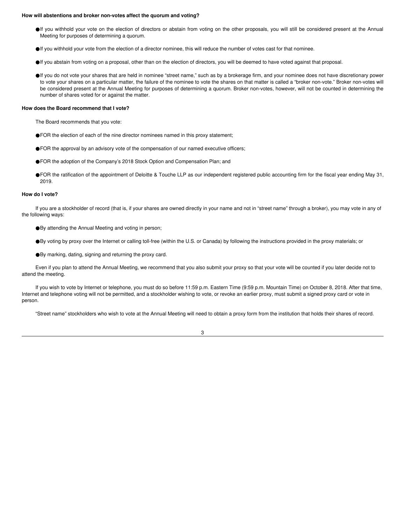#### **How will abstentions and broker non-votes affect the quorum and voting?**

- ●If you withhold your vote on the election of directors or abstain from voting on the other proposals, you will still be considered present at the Annual Meeting for purposes of determining a quorum.
- ●If you withhold your vote from the election of a director nominee, this will reduce the number of votes cast for that nominee.
- ●If you abstain from voting on a proposal, other than on the election of directors, you will be deemed to have voted against that proposal.
- ●If you do not vote your shares that are held in nominee "street name," such as by a brokerage firm, and your nominee does not have discretionary power to vote your shares on a particular matter, the failure of the nominee to vote the shares on that matter is called a "broker non-vote." Broker non-votes will be considered present at the Annual Meeting for purposes of determining a quorum. Broker non-votes, however, will not be counted in determining the number of shares voted for or against the matter.

#### **How does the Board recommend that I vote?**

The Board recommends that you vote:

- ●FOR the election of each of the nine director nominees named in this proxy statement;
- ●FOR the approval by an advisory vote of the compensation of our named executive officers;
- ●FOR the adoption of the Company's 2018 Stock Option and Compensation Plan; and
- ●FOR the ratification of the appointment of Deloitte & Touche LLP as our independent registered public accounting firm for the fiscal year ending May 31, 2019.

# **How do I vote?**

If you are a stockholder of record (that is, if your shares are owned directly in your name and not in "street name" through a broker), you may vote in any of the following ways:

- ●By attending the Annual Meeting and voting in person;
- ●By voting by proxy over the Internet or calling toll-free (within the U.S. or Canada) by following the instructions provided in the proxy materials; or
- ●By marking, dating, signing and returning the proxy card.

Even if you plan to attend the Annual Meeting, we recommend that you also submit your proxy so that your vote will be counted if you later decide not to attend the meeting.

If you wish to vote by Internet or telephone, you must do so before 11:59 p.m. Eastern Time (9:59 p.m. Mountain Time) on October 8, 2018. After that time, Internet and telephone voting will not be permitted, and a stockholder wishing to vote, or revoke an earlier proxy, must submit a signed proxy card or vote in person.

"Street name" stockholders who wish to vote at the Annual Meeting will need to obtain a proxy form from the institution that holds their shares of record.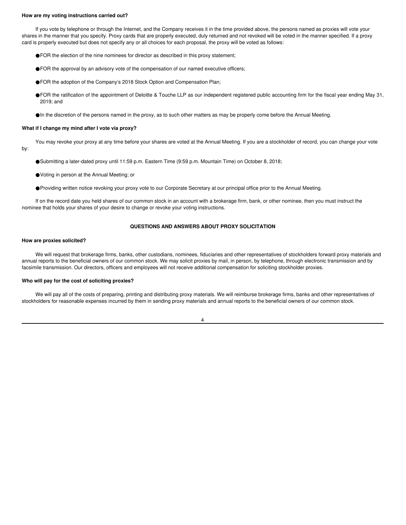#### **How are my voting instructions carried out?**

If you vote by telephone or through the Internet, and the Company receives it in the time provided above, the persons named as proxies will vote your shares in the manner that you specify. Proxy cards that are properly executed, duly returned and not revoked will be voted in the manner specified. If a proxy card is properly executed but does not specify any or all choices for each proposal, the proxy will be voted as follows:

- ●FOR the election of the nine nominees for director as described in this proxy statement;
- ●FOR the approval by an advisory vote of the compensation of our named executive officers;
- ●FOR the adoption of the Company's 2018 Stock Option and Compensation Plan;
- ●FOR the ratification of the appointment of Deloitte & Touche LLP as our independent registered public accounting firm for the fiscal year ending May 31, 2019; and

●In the discretion of the persons named in the proxy, as to such other matters as may be properly come before the Annual Meeting.

#### **What if I change my mind after I vote via proxy?**

You may revoke your proxy at any time before your shares are voted at the Annual Meeting. If you are a stockholder of record, you can change your vote by:

- ●Submitting a later-dated proxy until 11:59 p.m. Eastern Time (9:59 p.m. Mountain Time) on October 8, 2018;
- ●Voting in person at the Annual Meeting; or
- ●Providing written notice revoking your proxy vote to our Corporate Secretary at our principal office prior to the Annual Meeting.

If on the record date you held shares of our common stock in an account with a brokerage firm, bank, or other nominee, then you must instruct the nominee that holds your shares of your desire to change or revoke your voting instructions.

# **QUESTIONS AND ANSWERS ABOUT PROXY SOLICITATION**

#### **How are proxies solicited?**

We will request that brokerage firms, banks, other custodians, nominees, fiduciaries and other representatives of stockholders forward proxy materials and annual reports to the beneficial owners of our common stock. We may solicit proxies by mail, in person, by telephone, through electronic transmission and by facsimile transmission. Our directors, officers and employees will not receive additional compensation for soliciting stockholder proxies.

#### **Who will pay for the cost of soliciting proxies?**

We will pay all of the costs of preparing, printing and distributing proxy materials. We will reimburse brokerage firms, banks and other representatives of stockholders for reasonable expenses incurred by them in sending proxy materials and annual reports to the beneficial owners of our common stock.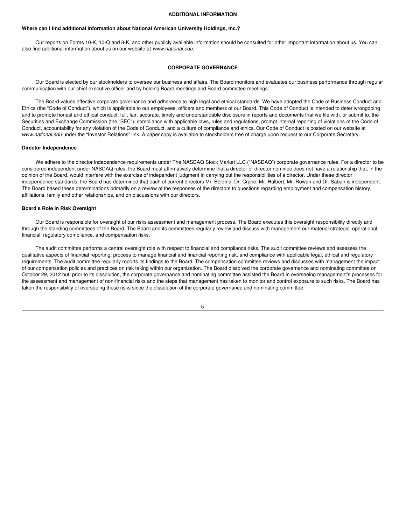#### **ADDITIONAL INFORMATION**

#### **Where can I find additional information about National American University Holdings, Inc.?**

Our reports on Forms 10-K, 10-Q and 8-K, and other publicly available information should be consulted for other important information about us. You can also find additional information about us on our website at *www.national.edu*.

#### **CORPORATE GOVERNANCE**

Our Board is elected by our stockholders to oversee our business and affairs. The Board monitors and evaluates our business performance through regular communication with our chief executive officer and by holding Board meetings and Board committee meetings.

The Board values effective corporate governance and adherence to high legal and ethical standards. We have adopted the Code of Business Conduct and Ethics (the "Code of Conduct"), which is applicable to our employees, officers and members of our Board. This Code of Conduct is intended to deter wrongdoing and to promote honest and ethical conduct, full, fair, accurate, timely and understandable disclosure in reports and documents that we file with, or submit to, the Securities and Exchange Commission (the "SEC"), compliance with applicable laws, rules and regulations, prompt internal reporting of violations of the Code of Conduct, accountability for any violation of the Code of Conduct, and a culture of compliance and ethics. Our Code of Conduct is posted on our website at *www.national.edu* under the "Investor Relations" link. A paper copy is available to stockholders free of charge upon request to our Corporate Secretary.

#### **Director Independence**

We adhere to the director independence requirements under The NASDAQ Stock Market LLC ("NASDAQ") corporate governance rules. For a director to be considered independent under NASDAQ rules, the Board must affirmatively determine that a director or director nominee does not have a relationship that, in the opinion of the Board, would interfere with the exercise of independent judgment in carrying out the responsibilities of a director. Under these director independence standards, the Board has determined that each of current directors Mr. Berzina, Dr. Crane, Mr. Halbert, Mr. Rowan and Dr. Saban is independent. The Board based these determinations primarily on a review of the responses of the directors to questions regarding employment and compensation history, affiliations, family and other relationships, and on discussions with our directors.

#### **Board's Role in Risk Oversight**

Our Board is responsible for oversight of our risks assessment and management process. The Board executes this oversight responsibility directly and through the standing committees of the Board. The Board and its committees regularly review and discuss with management our material strategic, operational, financial, regulatory compliance, and compensation risks.

The audit committee performs a central oversight role with respect to financial and compliance risks. The audit committee reviews and assesses the qualitative aspects of financial reporting, process to manage financial and financial reporting risk, and compliance with applicable legal, ethical and regulatory requirements. The audit committee regularly reports its findings to the Board. The compensation committee reviews and discusses with management the impact of our compensation policies and practices on risk taking within our organization. The Board dissolved the corporate governance and nominating committee on October 29, 2012 but, prior to its dissolution, the corporate governance and nominating committee assisted the Board in overseeing management's processes for the assessment and management of non-financial risks and the steps that management has taken to monitor and control exposure to such risks. The Board has taken the responsibility of overseeing these risks since the dissolution of the corporate governance and nominating committee.

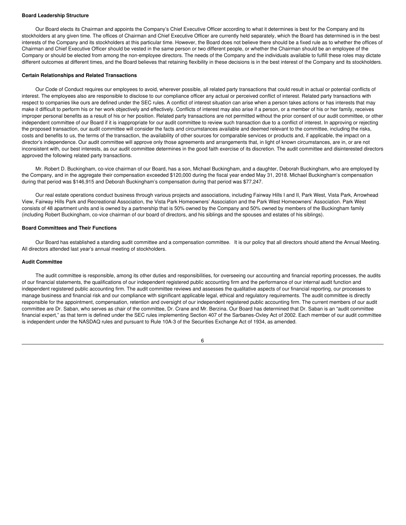#### **Board Leadership Structure**

Our Board elects its Chairman and appoints the Company's Chief Executive Officer according to what it determines is best for the Company and its stockholders at any given time. The offices of Chairman and Chief Executive Officer are currently held separately, which the Board has determined is in the best interests of the Company and its stockholders at this particular time. However, the Board does not believe there should be a fixed rule as to whether the offices of Chairman and Chief Executive Officer should be vested in the same person or two different people, or whether the Chairman should be an employee of the Company or should be elected from among the non-employee directors. The needs of the Company and the individuals available to fulfill these roles may dictate different outcomes at different times, and the Board believes that retaining flexibility in these decisions is in the best interest of the Company and its stockholders.

#### **Certain Relationships and Related Transactions**

Our Code of Conduct requires our employees to avoid, wherever possible, all related party transactions that could result in actual or potential conflicts of interest. The employees also are responsible to disclose to our compliance officer any actual or perceived conflict of interest. Related party transactions with respect to companies like ours are defined under the SEC rules. A conflict of interest situation can arise when a person takes actions or has interests that may make it difficult to perform his or her work objectively and effectively. Conflicts of interest may also arise if a person, or a member of his or her family, receives improper personal benefits as a result of his or her position. Related party transactions are not permitted without the prior consent of our audit committee, or other independent committee of our Board if it is inappropriate for our audit committee to review such transaction due to a conflict of interest. In approving or rejecting the proposed transaction, our audit committee will consider the facts and circumstances available and deemed relevant to the committee, including the risks, costs and benefits to us, the terms of the transaction, the availability of other sources for comparable services or products and, if applicable, the impact on a director's independence. Our audit committee will approve only those agreements and arrangements that, in light of known circumstances, are in, or are not inconsistent with, our best interests, as our audit committee determines in the good faith exercise of its discretion. The audit committee and disinterested directors approved the following related party transactions.

Mr. Robert D. Buckingham, co-vice chairman of our Board, has a son, Michael Buckingham, and a daughter, Deborah Buckingham, who are employed by the Company, and in the aggregate their compensation exceeded \$120,000 during the fiscal year ended May 31, 2018. Michael Buckingham's compensation during that period was \$146,915 and Deborah Buckingham's compensation during that period was \$77,247.

Our real estate operations conduct business through various projects and associations, including Fairway Hills I and II, Park West, Vista Park, Arrowhead View, Fairway Hills Park and Recreational Association, the Vista Park Homeowners' Association and the Park West Homeowners' Association. Park West consists of 48 apartment units and is owned by a partnership that is 50% owned by the Company and 50% owned by members of the Buckingham family (including Robert Buckingham, co-vice chairman of our board of directors, and his siblings and the spouses and estates of his siblings).

#### **Board Committees and Their Functions**

Our Board has established a standing audit committee and a compensation committee. It is our policy that all directors should attend the Annual Meeting. All directors attended last year's annual meeting of stockholders.

#### **Audit Committee**

The audit committee is responsible, among its other duties and responsibilities, for overseeing our accounting and financial reporting processes, the audits of our financial statements, the qualifications of our independent registered public accounting firm and the performance of our internal audit function and independent registered public accounting firm. The audit committee reviews and assesses the qualitative aspects of our financial reporting, our processes to manage business and financial risk and our compliance with significant applicable legal, ethical and regulatory requirements. The audit committee is directly responsible for the appointment, compensation, retention and oversight of our independent registered public accounting firm. The current members of our audit committee are Dr. Saban, who serves as chair of the committee, Dr. Crane and Mr. Berzina. Our Board has determined that Dr. Saban is an "audit committee financial expert," as that term is defined under the SEC rules implementing Section 407 of the Sarbanes-Oxley Act of 2002. Each member of our audit committee is independent under the NASDAQ rules and pursuant to Rule 10A-3 of the Securities Exchange Act of 1934, as amended.

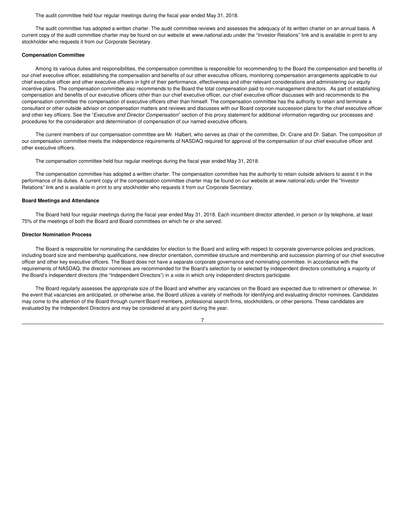The audit committee held four regular meetings during the fiscal year ended May 31, 2018.

The audit committee has adopted a written charter. The audit committee reviews and assesses the adequacy of its written charter on an annual basis. A current copy of the audit committee charter may be found on our website at *www.national.edu* under the "Investor Relations" link and is available in print to any stockholder who requests it from our Corporate Secretary.

#### **Compensation Committee**

Among its various duties and responsibilities, the compensation committee is responsible for recommending to the Board the compensation and benefits of our chief executive officer, establishing the compensation and benefits of our other executive officers, monitoring compensation arrangements applicable to our chief executive officer and other executive officers in light of their performance, effectiveness and other relevant considerations and administering our equity incentive plans. The compensation committee also recommends to the Board the total compensation paid to non-management directors. As part of establishing compensation and benefits of our executive officers other than our chief executive officer, our chief executive officer discusses with and recommends to the compensation committee the compensation of executive officers other than himself. The compensation committee has the authority to retain and terminate a consultant or other outside advisor on compensation matters and reviews and discusses with our Board corporate succession plans for the chief executive officer and other key officers. See the "*Executive and Director Compensation*" section of this proxy statement for additional information regarding our processes and procedures for the consideration and determination of compensation of our named executive officers.

The current members of our compensation committee are Mr. Halbert, who serves as chair of the committee, Dr. Crane and Dr. Saban. The composition of our compensation committee meets the independence requirements of NASDAQ required for approval of the compensation of our chief executive officer and other executive officers.

The compensation committee held four regular meetings during the fiscal year ended May 31, 2018.

The compensation committee has adopted a written charter. The compensation committee has the authority to retain outside advisors to assist it in the performance of its duties. A current copy of the compensation committee charter may be found on our website at *www.national.edu* under the "Investor Relations" link and is available in print to any stockholder who requests it from our Corporate Secretary.

#### **Board Meetings and Attendance**

The Board held four regular meetings during the fiscal year ended May 31, 2018. Each incumbent director attended, in person or by telephone, at least 75% of the meetings of both the Board and Board committees on which he or she served.

#### **Director Nomination Process**

The Board is responsible for nominating the candidates for election to the Board and acting with respect to corporate governance policies and practices, including board size and membership qualifications, new director orientation, committee structure and membership and succession planning of our chief executive officer and other key executive officers. The Board does not have a separate corporate governance and nominating committee. In accordance with the requirements of NASDAQ, the director nominees are recommended for the Board's selection by or selected by independent directors constituting a majority of the Board's independent directors (the "Independent Directors") in a vote in which only independent directors participate.

The Board regularly assesses the appropriate size of the Board and whether any vacancies on the Board are expected due to retirement or otherwise. In the event that vacancies are anticipated, or otherwise arise, the Board utilizes a variety of methods for identifying and evaluating director nominees. Candidates may come to the attention of the Board through current Board members, professional search firms, stockholders, or other persons. These candidates are evaluated by the Independent Directors and may be considered at any point during the year.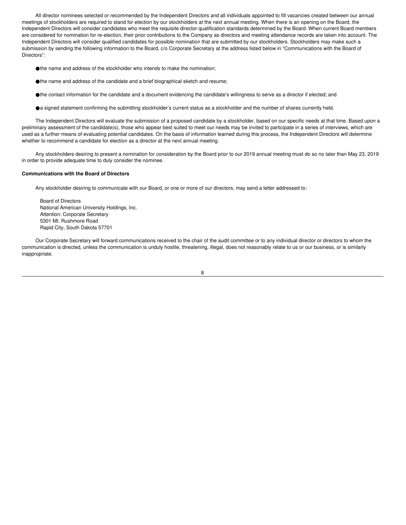All director nominees selected or recommended by the Independent Directors and all individuals appointed to fill vacancies created between our annual meetings of stockholders are required to stand for election by our stockholders at the next annual meeting. When there is an opening on the Board, the Independent Directors will consider candidates who meet the requisite director qualification standards determined by the Board. When current Board members are considered for nomination for re-election, their prior contributions to the Company as directors and meeting attendance records are taken into account. The Independent Directors will consider qualified candidates for possible nomination that are submitted by our stockholders. Stockholders may make such a submission by sending the following information to the Board, c/o Corporate Secretary at the address listed below in "Communications with the Board of Directors":

- ●the name and address of the stockholder who intends to make the nomination;
- ●the name and address of the candidate and a brief biographical sketch and resume;
- ●the contact information for the candidate and a document evidencing the candidate's willingness to serve as a director if elected; and
- ●a signed statement confirming the submitting stockholder's current status as a stockholder and the number of shares currently held.

The Independent Directors will evaluate the submission of a proposed candidate by a stockholder, based on our specific needs at that time. Based upon a preliminary assessment of the candidate(s), those who appear best suited to meet our needs may be invited to participate in a series of interviews, which are used as a further means of evaluating potential candidates. On the basis of information learned during this process, the Independent Directors will determine whether to recommend a candidate for election as a director at the next annual meeting.

Any stockholders desiring to present a nomination for consideration by the Board prior to our 2019 annual meeting must do so no later than May 23, 2019 in order to provide adequate time to duly consider the nominee.

#### **Communications with the Board of Directors**

Any stockholder desiring to communicate with our Board, or one or more of our directors, may send a letter addressed to:

Board of Directors National American University Holdings, Inc. Attention: Corporate Secretary 5301 Mt. Rushmore Road Rapid City, South Dakota 57701

Our Corporate Secretary will forward communications received to the chair of the audit committee or to any individual director or directors to whom the communication is directed, unless the communication is unduly hostile, threatening, illegal, does not reasonably relate to us or our business, or is similarly inappropriate.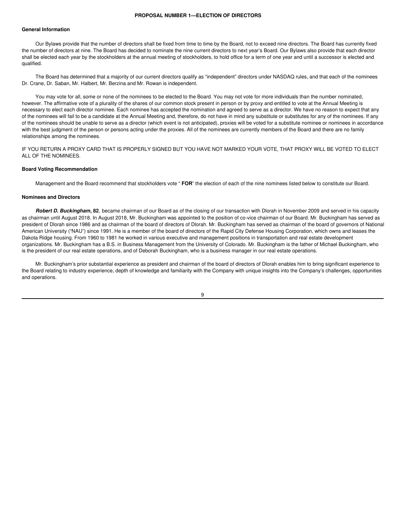#### **PROPOSAL NUMBER 1—ELECTION OF DIRECTORS**

#### **General Information**

Our Bylaws provide that the number of directors shall be fixed from time to time by the Board, not to exceed nine directors. The Board has currently fixed the number of directors at nine. The Board has decided to nominate the nine current directors to next year's Board. Our Bylaws also provide that each director shall be elected each year by the stockholders at the annual meeting of stockholders, to hold office for a term of one year and until a successor is elected and qualified.

The Board has determined that a majority of our current directors qualify as "independent" directors under NASDAQ rules, and that each of the nominees Dr. Crane, Dr. Saban, Mr. Halbert, Mr. Berzina and Mr. Rowan is independent.

You may vote for all, some or none of the nominees to be elected to the Board. You may not vote for more individuals than the number nominated, however. The affirmative vote of a plurality of the shares of our common stock present in person or by proxy and entitled to vote at the Annual Meeting is necessary to elect each director nominee. Each nominee has accepted the nomination and agreed to serve as a director. We have no reason to expect that any of the nominees will fail to be a candidate at the Annual Meeting and, therefore, do not have in mind any substitute or substitutes for any of the nominees. If any of the nominees should be unable to serve as a director (which event is not anticipated), proxies will be voted for a substitute nominee or nominees in accordance with the best judgment of the person or persons acting under the proxies. All of the nominees are currently members of the Board and there are no family relationships among the nominees.

IF YOU RETURN A PROXY CARD THAT IS PROPERLY SIGNED BUT YOU HAVE NOT MARKED YOUR VOTE, THAT PROXY WILL BE VOTED TO ELECT ALL OF THE NOMINEES.

#### **Board Voting Recommendation**

Management and the Board recommend that stockholders vote " **FOR**" the election of each of the nine nominees listed below to constitute our Board.

#### **Nominees and Directors**

*Robert D. Buckingham***, 82**, became chairman of our Board as of the closing of our transaction with Dlorah in November 2009 and served in his capacity as chairman until August 2018. In August 2018, Mr. Buckingham was appointed to the position of co-vice chairman of our Board. Mr. Buckingham has served as president of Dlorah since 1986 and as chairman of the board of directors of Dlorah. Mr. Buckingham has served as chairman of the board of governors of National American University ("NAU") since 1991. He is a member of the board of directors of the Rapid City Defense Housing Corporation, which owns and leases the Dakota Ridge housing. From 1960 to 1981 he worked in various executive and management positions in transportation and real estate development organizations. Mr. Buckingham has a B.S. in Business Management from the University of Colorado. Mr. Buckingham is the father of Michael Buckingham, who is the president of our real estate operations, and of Deborah Buckingham, who is a business manager in our real estate operations.

Mr. Buckingham's prior substantial experience as president and chairman of the board of directors of Dlorah enables him to bring significant experience to the Board relating to industry experience, depth of knowledge and familiarity with the Company with unique insights into the Company's challenges, opportunities and operations.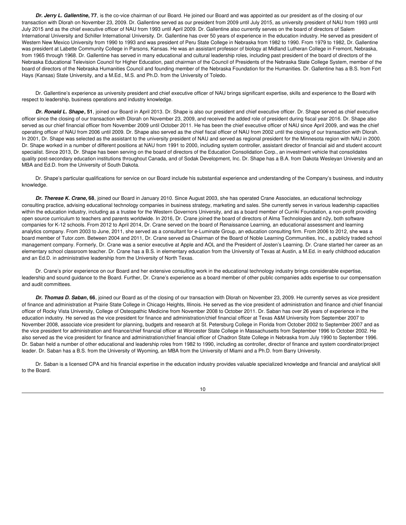*Dr. Jerry L. Gallentine***, 77**, is the co-vice chairman of our Board. He joined our Board and was appointed as our president as of the closing of our transaction with Dlorah on November 23, 2009. Dr. Gallentine served as our president from 2009 until July 2015, as university president of NAU from 1993 until July 2015 and as the chief executive officer of NAU from 1993 until April 2009. Dr. Gallentine also currently serves on the board of directors of Salem International University and Schiller International University. Dr. Gallentine has over 50 years of experience in the education industry. He served as president of Western New Mexico University from 1990 to 1993 and was president of Peru State College in Nebraska from 1982 to 1990. From 1979 to 1982, Dr. Gallentine was president at Labette Community College in Parsons, Kansas. He was an assistant professor of biology at Midland Lutheran College in Fremont, Nebraska, from 1965 through 1968. Dr. Gallentine has served in many educational and cultural leadership roles, including past president of the board of directors of the Nebraska Educational Television Council for Higher Education, past chairman of the Council of Presidents of the Nebraska State College System, member of the board of directors of the Nebraska Humanities Council and founding member of the Nebraska Foundation for the Humanities. Dr. Gallentine has a B.S. from Fort Hays (Kansas) State University, and a M.Ed., M.S. and Ph.D. from the University of Toledo.

Dr. Gallentine's experience as university president and chief executive officer of NAU brings significant expertise, skills and experience to the Board with respect to leadership, business operations and industry knowledge.

*Dr. Ronald L. Shape***, 51**, joined our Board in April 2013. Dr. Shape is also our president and chief executive officer. Dr. Shape served as chief executive officer since the closing of our transaction with Dlorah on November 23, 2009, and received the added role of president during fiscal year 2016. Dr. Shape also served as our chief financial officer from November 2009 until October 2011. He has been the chief executive officer of NAU since April 2009, and was the chief operating officer of NAU from 2006 until 2009. Dr. Shape also served as the chief fiscal officer of NAU from 2002 until the closing of our transaction with Dlorah. In 2001, Dr. Shape was selected as the assistant to the university president of NAU and served as regional president for the Minnesota region with NAU in 2000. Dr. Shape worked in a number of different positions at NAU from 1991 to 2000, including system controller, assistant director of financial aid and student account specialist. Since 2013, Dr. Shape has been serving on the board of directors of the Education Consolidation Corp., an investment vehicle that consolidates quality post-secondary education institutions throughout Canada, and of Sodak Development, Inc. Dr. Shape has a B.A. from Dakota Wesleyan University and an MBA and Ed.D. from the University of South Dakota.

Dr. Shape's particular qualifications for service on our Board include his substantial experience and understanding of the Company's business, and industry knowledge.

*Dr. Therese K. Crane***, 68**, joined our Board in January 2010. Since August 2003, she has operated Crane Associates, an educational technology consulting practice, advising educational technology companies in business strategy, marketing and sales. She currently serves in various leadership capacities within the education industry, including as a trustee for the Western Governors University, and as a board member of Curriki Foundation, a non-profit providing open source curriculum to teachers and parents worldwide. In 2016, Dr. Crane joined the board of directors of Alma Technologies and n2y, both software companies for K-12 schools. From 2012 to April 2014, Dr. Crane served on the board of Renaissance Learning, an educational assessment and learning analytics company. From 2003 to June, 2011, she served as a consultant for e-Luminate Group, an education consulting firm. From 2006 to 2012, she was a board member of Tutor.com. Between 2004 and 2011, Dr. Crane served as Chairman of the Board of Noble Learning Communities, Inc., a publicly traded school management company. Formerly, Dr. Crane was a senior executive at Apple and AOL and the President of Josten's Learning. Dr. Crane started her career as an elementary school classroom teacher. Dr. Crane has a B.S. in elementary education from the University of Texas at Austin, a M.Ed. in early childhood education and an Ed.D. in administrative leadership from the University of North Texas.

Dr. Crane's prior experience on our Board and her extensive consulting work in the educational technology industry brings considerable expertise, leadership and sound guidance to the Board. Further, Dr. Crane's experience as a board member of other public companies adds expertise to our compensation and audit committees.

*Dr. Thomas D. Saban***, 66**, joined our Board as of the closing of our transaction with Dlorah on November 23, 2009. He currently serves as vice president of finance and administration at Prairie State College in Chicago Heights, Illinois. He served as the vice president of administration and finance and chief financial officer of Rocky Vista University, College of Osteopathic Medicine from November 2008 to October 2011. Dr. Saban has over 26 years of experience in the education industry. He served as the vice president for finance and administration/chief financial officer at Texas A&M University from September 2007 to November 2008, associate vice president for planning, budgets and research at St. Petersburg College in Florida from October 2002 to September 2007 and as the vice president for administration and finance/chief financial officer at Worcester State College in Massachusetts from September 1996 to October 2002. He also served as the vice president for finance and administration/chief financial officer of Chadron State College in Nebraska from July 1990 to September 1996. Dr. Saban held a number of other educational and leadership roles from 1982 to 1990, including as controller, director of finance and system coordinator/project leader. Dr. Saban has a B.S. from the University of Wyoming, an MBA from the University of Miami and a Ph.D. from Barry University.

Dr. Saban is a licensed CPA and his financial expertise in the education industry provides valuable specialized knowledge and financial and analytical skill to the Board.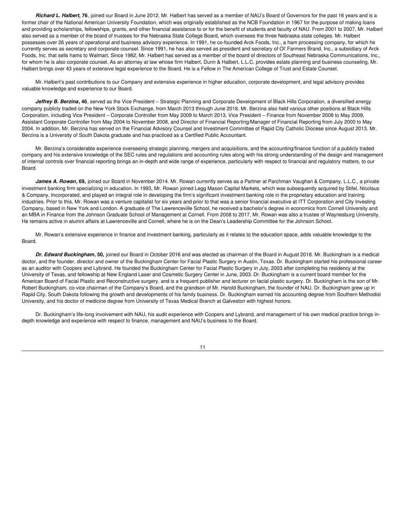*Richard L. Halbert***, 76**, joined our Board in June 2012. Mr. Halbert has served as a member of NAU's Board of Governors for the past 16 years and is a former chair of the National American University Foundation, which was originally established as the NCB Foundation in 1967 for the purpose of making loans and providing scholarships, fellowships, grants, and other financial assistance to or for the benefit of students and faculty of NAU. From 2001 to 2007, Mr. Halbert also served as a member of the board of trustees for the Nebraska State College Board, which oversees the three Nebraska state colleges. Mr. Halbert possesses over 26 years of operational and business advisory experience. In 1991, he co-founded Arck Foods, Inc., a ham processing company, for which he currently serves as secretary and corporate counsel. Since 1991, he has also served as president and secretary of Ol' Farmers Brand, Inc., a subsidiary of Arck Foods, Inc. that sells hams to Walmart. Since 1982, Mr. Halbert has served as a member of the board of directors of Southeast Nebraska Communications, Inc., for whom he is also corporate counsel. As an attorney at law whose firm Halbert, Dunn & Halbert, L.L.C. provides estate planning and business counseling, Mr. Halbert brings over 43 years of extensive legal experience to the Board. He is a Fellow in The American College of Trust and Estate Counsel.

Mr. Halbert's past contributions to our Company and extensive experience in higher education, corporate development, and legal advisory provides valuable knowledge and experience to our Board.

*Jeffrey B. Berzina***, 46**, served as the Vice President – Strategic Planning and Corporate Development of Black Hills Corporation, a diversified energy company publicly traded on the New York Stock Exchange, from March 2013 through June 2018. Mr. Berzina also held various other positions at Black Hills Corporation, including Vice President – Corporate Controller from May 2009 to March 2013, Vice President – Finance from November 2008 to May 2009, Assistant Corporate Controller from May 2004 to November 2008, and Director of Financial Reporting/Manager of Financial Reporting from July 2000 to May 2004. In addition, Mr. Berzina has served on the Financial Advisory Counsel and Investment Committee of Rapid City Catholic Diocese since August 2013. Mr. Berzina is a University of South Dakota graduate and has practiced as a Certified Public Accountant.

Mr. Berzina's considerable experience overseeing strategic planning, mergers and acquisitions, and the accounting/finance function of a publicly traded company and his extensive knowledge of the SEC rules and regulations and accounting rules along with his strong understanding of the design and management of internal controls over financial reporting brings an in-depth and wide range of experience, particularly with respect to financial and regulatory matters, to our Board.

*James A. Rowan***, 69,** joined our Board in November 2014. Mr. Rowan currently serves as a Partner at Parchman Vaughan & Company, L.L.C., a private investment banking firm specializing in education. In 1993, Mr. Rowan joined Legg Mason Capital Markets, which was subsequently acquired by Stifel, Nicolaus & Company, Incorporated, and played an integral role in developing the firm's significant investment banking role in the proprietary education and training industries. Prior to this, Mr. Rowan was a venture capitalist for six years and prior to that was a senior financial executive at ITT Corporation and City Investing Company, based in New York and London. A graduate of The Lawrenceville School, he received a bachelor's degree in economics from Cornell University and an MBA in Finance from the Johnson Graduate School of Management at Cornell. From 2008 to 2017, Mr. Rowan was also a trustee of Waynesburg University. He remains active in alumni affairs at Lawrenceville and Cornell, where he is on the Dean's Leadership Committee for the Johnson School.

Mr. Rowan's extensive experience in finance and investment banking, particularly as it relates to the education space, adds valuable knowledge to the Board.

*Dr. Edward Buckingham***, 50,** joined our Board in October 2016 and was elected as chairman of the Board in August 2018. Mr. Buckingham is a medical doctor, and the founder, director and owner of the Buckingham Center for Facial Plastic Surgery in Austin, Texas. Dr. Buckingham started his professional career as an auditor with Coopers and Lybrand. He founded the Buckingham Center for Facial Plastic Surgery in July, 2003 after completing his residency at the University of Texas, and fellowship at New England Laser and Cosmetic Surgery Center in June, 2003. Dr. Buckingham is a current board member for the American Board of Facial Plastic and Reconstructive surgery, and is a frequent publisher and lecturer on facial plastic surgery. Dr. Buckingham is the son of Mr. Robert Buckingham, co-vice chairman of the Company's Board, and the grandson of Mr. Harold Buckingham, the founder of NAU. Dr. Buckingham grew up in Rapid City, South Dakota following the growth and developments of his family business. Dr. Buckingham earned his accounting degree from Southern Methodist University, and his doctor of medicine degree from University of Texas Medical Branch at Galveston with highest honors.

Dr. Buckingham's life-long involvement with NAU, his audit experience with Coopers and Lybrand, and management of his own medical practice brings indepth knowledge and experience with respect to finance, management and NAU's business to the Board.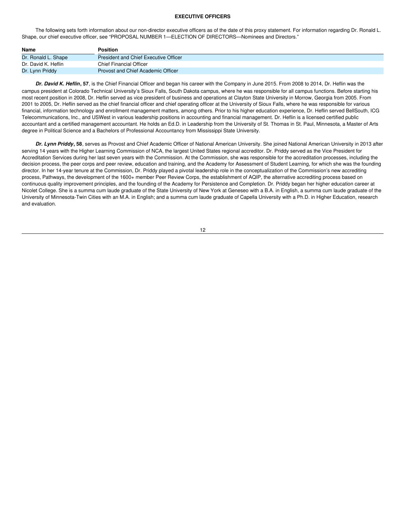#### **EXECUTIVE OFFICERS**

The following sets forth information about our non-director executive officers as of the date of this proxy statement. For information regarding Dr. Ronald L. Shape, our chief executive officer, see "PROPOSAL NUMBER 1—ELECTION OF DIRECTORS—Nominees and Directors."

| Name                | <b>Position</b>                       |
|---------------------|---------------------------------------|
| Dr. Ronald L. Shape | President and Chief Executive Officer |
| Dr. David K. Heflin | <b>Chief Financial Officer</b>        |
| Dr. Lynn Priddy     | Provost and Chief Academic Officer    |

*Dr. David K. Heflin***, 57**, is the Chief Financial Officer and began his career with the Company in June 2015. From 2008 to 2014, Dr. Heflin was the campus president at Colorado Technical University's Sioux Falls, South Dakota campus, where he was responsible for all campus functions. Before starting his most recent position in 2008, Dr. Heflin served as vice president of business and operations at Clayton State University in Morrow, Georgia from 2005. From 2001 to 2005, Dr. Heflin served as the chief financial officer and chief operating officer at the University of Sioux Falls, where he was responsible for various financial, information technology and enrollment management matters, among others. Prior to his higher education experience, Dr. Heflin served BellSouth, ICG Telecommunications, Inc., and USWest in various leadership positions in accounting and financial management. Dr. Heflin is a licensed certified public accountant and a certified management accountant. He holds an Ed.D. in Leadership from the University of St. Thomas in St. Paul, Minnesota, a Master of Arts degree in Political Science and a Bachelors of Professional Accountancy from Mississippi State University.

*Dr. Lynn Priddy***, 58**, serves as Provost and Chief Academic Officer of National American University. She joined National American University in 2013 after serving 14 years with the Higher Learning Commission of NCA, the largest United States regional accreditor. Dr. Priddy served as the Vice President for Accreditation Services during her last seven years with the Commission. At the Commission, she was responsible for the accreditation processes, including the decision process, the peer corps and peer review, education and training, and the Academy for Assessment of Student Learning, for which she was the founding director. In her 14-year tenure at the Commission, Dr. Priddy played a pivotal leadership role in the conceptualization of the Commission's new accrediting process, Pathways, the development of the 1600+ member Peer Review Corps, the establishment of AQIP, the alternative accrediting process based on continuous quality improvement principles, and the founding of the Academy for Persistence and Completion. Dr. Priddy began her higher education career at Nicolet College. She is a summa cum laude graduate of the State University of New York at Geneseo with a B.A. in English, a summa cum laude graduate of the University of Minnesota-Twin Cities with an M.A. in English; and a summa cum laude graduate of Capella University with a Ph.D. in Higher Education, research and evaluation.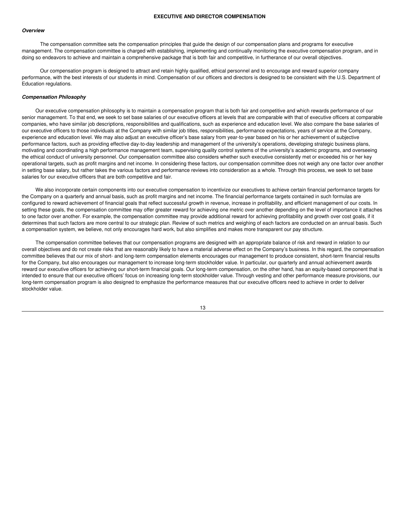#### *Overview*

The compensation committee sets the compensation principles that guide the design of our compensation plans and programs for executive management. The compensation committee is charged with establishing, implementing and continually monitoring the executive compensation program, and in doing so endeavors to achieve and maintain a comprehensive package that is both fair and competitive, in furtherance of our overall objectives.

Our compensation program is designed to attract and retain highly qualified, ethical personnel and to encourage and reward superior company performance, with the best interests of our students in mind. Compensation of our officers and directors is designed to be consistent with the U.S. Department of Education regulations.

#### *Compensation Philosophy*

Our executive compensation philosophy is to maintain a compensation program that is both fair and competitive and which rewards performance of our senior management. To that end, we seek to set base salaries of our executive officers at levels that are comparable with that of executive officers at comparable companies, who have similar job descriptions, responsibilities and qualifications, such as experience and education level. We also compare the base salaries of our executive officers to those individuals at the Company with similar job titles, responsibilities, performance expectations, years of service at the Company, experience and education level. We may also adjust an executive officer's base salary from year-to-year based on his or her achievement of subjective performance factors, such as providing effective day-to-day leadership and management of the university's operations, developing strategic business plans, motivating and coordinating a high performance management team, supervising quality control systems of the university's academic programs, and overseeing the ethical conduct of university personnel. Our compensation committee also considers whether such executive consistently met or exceeded his or her key operational targets, such as profit margins and net income. In considering these factors, our compensation committee does not weigh any one factor over another in setting base salary, but rather takes the various factors and performance reviews into consideration as a whole. Through this process, we seek to set base salaries for our executive officers that are both competitive and fair.

We also incorporate certain components into our executive compensation to incentivize our executives to achieve certain financial performance targets for the Company on a quarterly and annual basis, such as profit margins and net income. The financial performance targets contained in such formulas are configured to reward achievement of financial goals that reflect successful growth in revenue, increase in profitability, and efficient management of our costs. In setting these goals, the compensation committee may offer greater reward for achieving one metric over another depending on the level of importance it attaches to one factor over another. For example, the compensation committee may provide additional reward for achieving profitability and growth over cost goals, if it determines that such factors are more central to our strategic plan. Review of such metrics and weighing of each factors are conducted on an annual basis. Such a compensation system, we believe, not only encourages hard work, but also simplifies and makes more transparent our pay structure.

The compensation committee believes that our compensation programs are designed with an appropriate balance of risk and reward in relation to our overall objectives and do not create risks that are reasonably likely to have a material adverse effect on the Company's business. In this regard, the compensation committee believes that our mix of short- and long-term compensation elements encourages our management to produce consistent, short-term financial results for the Company, but also encourages our management to increase long-term stockholder value. In particular, our quarterly and annual achievement awards reward our executive officers for achieving our short-term financial goals. Our long-term compensation, on the other hand, has an equity-based component that is intended to ensure that our executive officers' focus on increasing long-term stockholder value. Through vesting and other performance measure provisions, our long-term compensation program is also designed to emphasize the performance measures that our executive officers need to achieve in order to deliver stockholder value.

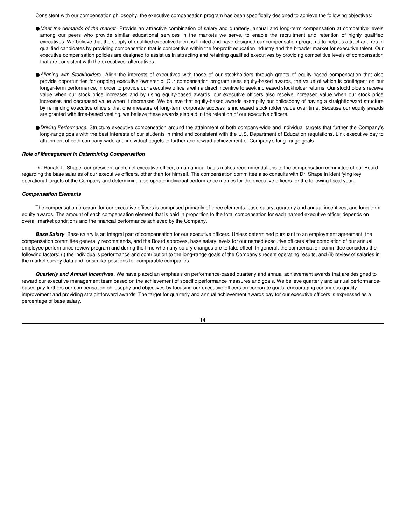Consistent with our compensation philosophy, the executive compensation program has been specifically designed to achieve the following objectives:

- ●**Meet** the demands of the market. Provide an attractive combination of salary and quarterly, annual and long-term compensation at competitive levels among our peers who provide similar educational services in the markets we serve, to enable the recruitment and retention of highly qualified executives. We believe that the supply of qualified executive talent is limited and have designed our compensation programs to help us attract and retain qualified candidates by providing compensation that is competitive within the for-profit education industry and the broader market for executive talent. Our executive compensation policies are designed to assist us in attracting and retaining qualified executives by providing competitive levels of compensation that are consistent with the executives' alternatives.
- ●*Aligning with Stockholders* . Align the interests of executives with those of our stockholders through grants of equity-based compensation that also provide opportunities for ongoing executive ownership. Our compensation program uses equity-based awards, the value of which is contingent on our longer-term performance, in order to provide our executive officers with a direct incentive to seek increased stockholder returns. Our stockholders receive value when our stock price increases and by using equity-based awards, our executive officers also receive increased value when our stock price increases and decreased value when it decreases. We believe that equity-based awards exemplify our philosophy of having a straightforward structure by reminding executive officers that one measure of long-term corporate success is increased stockholder value over time. Because our equity awards are granted with time-based vesting, we believe these awards also aid in the retention of our executive officers.
- ●*Driving Performance*. Structure executive compensation around the attainment of both company-wide and individual targets that further the Company's long-range goals with the best interests of our students in mind and consistent with the U.S. Department of Education regulations. Link executive pay to attainment of both company-wide and individual targets to further and reward achievement of Company's long-range goals.

#### *Role of Management in Determining Compensation*

Dr. Ronald L. Shape, our president and chief executive officer, on an annual basis makes recommendations to the compensation committee of our Board regarding the base salaries of our executive officers, other than for himself. The compensation committee also consults with Dr. Shape in identifying key operational targets of the Company and determining appropriate individual performance metrics for the executive officers for the following fiscal year.

#### *Compensation Elements*

The compensation program for our executive officers is comprised primarily of three elements: base salary, quarterly and annual incentives, and long-term equity awards. The amount of each compensation element that is paid in proportion to the total compensation for each named executive officer depends on overall market conditions and the financial performance achieved by the Company.

*Base Salary*. Base salary is an integral part of compensation for our executive officers. Unless determined pursuant to an employment agreement, the compensation committee generally recommends, and the Board approves, base salary levels for our named executive officers after completion of our annual employee performance review program and during the time when any salary changes are to take effect. In general, the compensation committee considers the following factors: (i) the individual's performance and contribution to the long-range goals of the Company's recent operating results, and (ii) review of salaries in the market survey data and for similar positions for comparable companies.

*Quarterly and Annual Incentives*. We have placed an emphasis on performance-based quarterly and annual achievement awards that are designed to reward our executive management team based on the achievement of specific performance measures and goals. We believe quarterly and annual performancebased pay furthers our compensation philosophy and objectives by focusing our executive officers on corporate goals, encouraging continuous quality improvement and providing straightforward awards. The target for quarterly and annual achievement awards pay for our executive officers is expressed as a percentage of base salary.

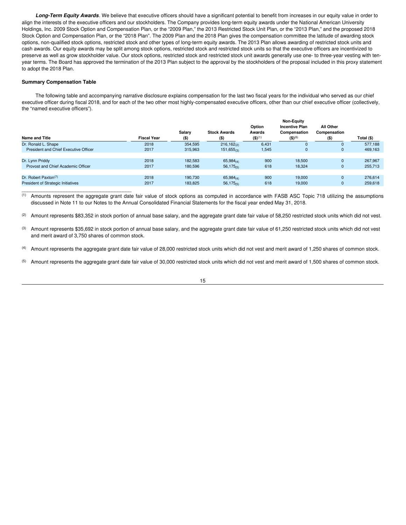*Long-Term Equity Awards*. We believe that executive officers should have a significant potential to benefit from increases in our equity value in order to align the interests of the executive officers and our stockholders. The Company provides long-term equity awards under the National American University Holdings, Inc. 2009 Stock Option and Compensation Plan, or the "2009 Plan," the 2013 Restricted Stock Unit Plan, or the "2013 Plan," and the proposed 2018 Stock Option and Compensation Plan, or the "2018 Plan". The 2009 Plan and the 2018 Plan gives the compensation committee the latitude of awarding stock options, non-qualified stock options, restricted stock and other types of long-term equity awards. The 2013 Plan allows awarding of restricted stock units and cash awards. Our equity awards may be split among stock options, restricted stock and restricted stock units so that the executive officers are incentivized to preserve as well as grow stockholder value. Our stock options, restricted stock and restricted stock unit awards generally use one- to three-year vesting with tenyear terms. The Board has approved the termination of the 2013 Plan subject to the approval by the stockholders of the proposal included in this proxy statement to adopt the 2018 Plan.

#### **Summary Compensation Table**

\_\_\_\_\_\_\_\_\_\_\_\_\_\_\_\_\_\_\_\_\_\_\_\_\_\_\_\_\_\_\_\_\_\_\_\_\_\_\_

The following table and accompanying narrative disclosure explains compensation for the last two fiscal years for the individual who served as our chief executive officer during fiscal 2018, and for each of the two other most highly-compensated executive officers, other than our chief executive officer (collectively, the "named executive officers").

|                                           |                    |                   |                                | Option                  | <b>Non-Equity</b><br><b>Incentive Plan</b> | All Other               |            |
|-------------------------------------------|--------------------|-------------------|--------------------------------|-------------------------|--------------------------------------------|-------------------------|------------|
| <b>Name and Title</b>                     | <b>Fiscal Year</b> | Salary<br>$($ \$) | <b>Stock Awards</b><br>$($ \$) | Awards<br>$($ \$) $(1)$ | Compensation<br>$($ \$) <sup>(6)</sup>     | Compensation<br>$($ \$) | Total (\$) |
| Dr. Ronald L. Shape                       | 2018               | 354,595           | 216,162(2)                     | 6,431                   | O                                          |                         | 577.188    |
| President and Chief Executive Officer     | 2017               | 315,963           | 151,655(3)                     | 1,545                   | 0                                          | 0                       | 469,163    |
| Dr. Lynn Priddy                           | 2018               | 182.583           | $65,984_{(4)}$                 | 900                     | 18.500                                     | 0                       | 267.967    |
| Provost and Chief Academic Officer        | 2017               | 180,596           | 56,175(5)                      | 618                     | 18,324                                     | 0                       | 255,713    |
| Dr. Robert Paxton <sup>(7)</sup>          | 2018               | 190.730           |                                | 900                     | 19.000                                     | 0                       | 276,614    |
| <b>President of Strategic Initiatives</b> | 2017               | 183.825           | $65,984_{(4)}$<br>56,175(5)    | 618                     | 19.000                                     | 0                       | 259,618    |

(1) Amounts represent the aggregate grant date fair value of stock options as computed in accordance with FASB ASC Topic 718 utilizing the assumptions discussed in Note 11 to our Notes to the Annual Consolidated Financial Statements for the fiscal year ended May 31, 2018.

<sup>(2)</sup> Amount represents \$83,352 in stock portion of annual base salary, and the aggregate grant date fair value of 58,250 restricted stock units which did not vest.

(3) Amount represents \$35,692 in stock portion of annual base salary, and the aggregate grant date fair value of 61,250 restricted stock units which did not vest and merit award of 3,750 shares of common stock.

(4) Amount represents the aggregate grant date fair value of 28,000 restricted stock units which did not vest and merit award of 1,250 shares of common stock.

<sup>(5)</sup> Amount represents the aggregate grant date fair value of 30,000 restricted stock units which did not vest and merit award of 1,500 shares of common stock.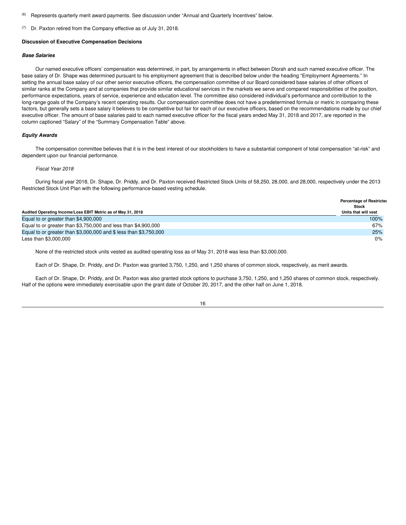- (6) Represents quarterly merit award payments. See discussion under "Annual and Quarterly Incentives" below.
- (7) Dr. Paxton retired from the Company effective as of July 31, 2018.

#### **Discussion of Executive Compensation Decisions**

#### *Base Salaries*

Our named executive officers' compensation was determined, in part, by arrangements in effect between Dlorah and such named executive officer. The base salary of Dr. Shape was determined pursuant to his employment agreement that is described below under the heading "Employment Agreements." In setting the annual base salary of our other senior executive officers, the compensation committee of our Board considered base salaries of other officers of similar ranks at the Company and at companies that provide similar educational services in the markets we serve and compared responsibilities of the position, performance expectations, years of service, experience and education level. The committee also considered individual's performance and contribution to the long-range goals of the Company's recent operating results. Our compensation committee does not have a predetermined formula or metric in comparing these factors, but generally sets a base salary it believes to be competitive but fair for each of our executive officers, based on the recommendations made by our chief executive officer. The amount of base salaries paid to each named executive officer for the fiscal years ended May 31, 2018 and 2017, are reported in the column captioned "Salary" of the "Summary Compensation Table" above.

#### *Equity Awards*

The compensation committee believes that it is in the best interest of our stockholders to have a substantial component of total compensation "at-risk" and dependent upon our financial performance.

#### *Fiscal Year 2018*

During fiscal year 2018, Dr. Shape, Dr. Priddy, and Dr. Paxton received Restricted Stock Units of 58,250, 28,000, and 28,000, respectively under the 2013 Restricted Stock Unit Plan with the following performance-based vesting schedule.

|                                                                   | <b>Percentage of Restricted</b><br>Stock |
|-------------------------------------------------------------------|------------------------------------------|
| Audited Operating Income/Loss EBIT Metric as of May 31, 2018      | Units that will vest                     |
| Equal to or greater than \$4,900,000                              | 100%                                     |
| Equal to or greater than \$3,750,000 and less than \$4,900,000    | 67%                                      |
| Equal to or greater than \$3,000,000 and \$ less than \$3,750,000 | 25%                                      |
| Less than \$3,000,000                                             | 0%                                       |

None of the restricted stock units vested as audited operating loss as of May 31, 2018 was less than \$3,000,000.

Each of Dr. Shape, Dr. Priddy, and Dr. Paxton was granted 3,750, 1,250, and 1,250 shares of common stock, respectively, as merit awards.

Each of Dr. Shape, Dr. Priddy, and Dr. Paxton was also granted stock options to purchase 3,750, 1,250, and 1,250 shares of common stock, respectively. Half of the options were immediately exercisable upon the grant date of October 20, 2017, and the other half on June 1, 2018.

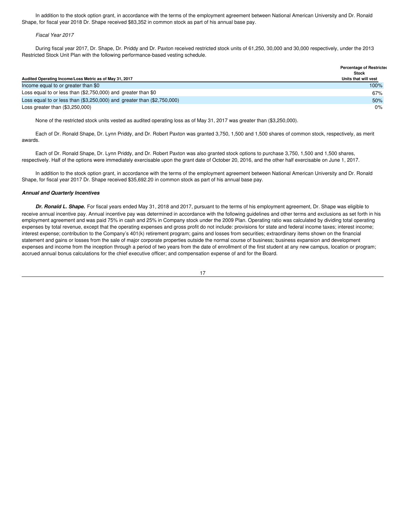In addition to the stock option grant, in accordance with the terms of the employment agreement between National American University and Dr. Ronald Shape, for fiscal year 2018 Dr. Shape received \$83,352 in common stock as part of his annual base pay.

#### *Fiscal Year 2017*

During fiscal year 2017, Dr. Shape, Dr. Priddy and Dr. Paxton received restricted stock units of 61,250, 30,000 and 30,000 respectively, under the 2013 Restricted Stock Unit Plan with the following performance-based vesting schedule.

|                                                                             | <b>Percentage of Restricted</b><br>Stock |
|-----------------------------------------------------------------------------|------------------------------------------|
| Audited Operating Income/Loss Metric as of May 31, 2017                     | Units that will vest                     |
| Income equal to or greater than \$0                                         | 100%                                     |
| Loss equal to or less than $(\$2,750,000)$ and greater than $\$0$           | 67%                                      |
| Loss equal to or less than $(\$3,250,000)$ and greater than $(\$2,750,000)$ | 50%                                      |
| Loss greater than $(\$3,250,000)$                                           | 0%                                       |

None of the restricted stock units vested as audited operating loss as of May 31, 2017 was greater than (\$3,250,000).

Each of Dr. Ronald Shape, Dr. Lynn Priddy, and Dr. Robert Paxton was granted 3,750, 1,500 and 1,500 shares of common stock, respectively, as merit awards.

Each of Dr. Ronald Shape, Dr. Lynn Priddy, and Dr. Robert Paxton was also granted stock options to purchase 3,750, 1,500 and 1,500 shares, respectively. Half of the options were immediately exercisable upon the grant date of October 20, 2016, and the other half exercisable on June 1, 2017.

In addition to the stock option grant, in accordance with the terms of the employment agreement between National American University and Dr. Ronald Shape, for fiscal year 2017 Dr. Shape received \$35,692.20 in common stock as part of his annual base pay.

# *Annual and Quarterly Incentives*

*Dr. Ronald L. Shape.* For fiscal years ended May 31, 2018 and 2017, pursuant to the terms of his employment agreement, Dr. Shape was eligible to receive annual incentive pay. Annual incentive pay was determined in accordance with the following guidelines and other terms and exclusions as set forth in his employment agreement and was paid 75% in cash and 25% in Company stock under the 2009 Plan. Operating ratio was calculated by dividing total operating expenses by total revenue, except that the operating expenses and gross profit do not include: provisions for state and federal income taxes; interest income; interest expense; contribution to the Company's 401(k) retirement program; gains and losses from securities; extraordinary items shown on the financial statement and gains or losses from the sale of major corporate properties outside the normal course of business; business expansion and development expenses and income from the inception through a period of two years from the date of enrollment of the first student at any new campus, location or program; accrued annual bonus calculations for the chief executive officer; and compensation expense of and for the Board.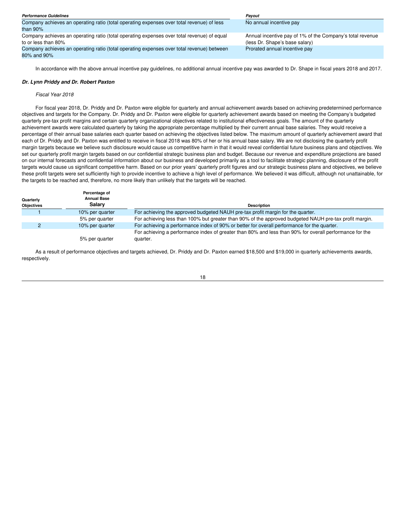| <b>Performance Guidelines</b>                                                              | Pavout                                                    |
|--------------------------------------------------------------------------------------------|-----------------------------------------------------------|
| Company achieves an operating ratio (total operating expenses over total revenue) of less  | No annual incentive pay                                   |
| than 90%                                                                                   |                                                           |
| Company achieves an operating ratio (total operating expenses over total revenue) of equal | Annual incentive pay of 1% of the Company's total revenue |
| to or less than 80%                                                                        | (less Dr. Shape's base salary)                            |
| Company achieves an operating ratio (total operating expenses over total revenue) between  | Prorated annual incentive pay                             |
| 80% and 90%                                                                                |                                                           |

In accordance with the above annual incentive pay guidelines, no additional annual incentive pay was awarded to Dr. Shape in fiscal years 2018 and 2017.

#### *Dr. Lynn Priddy and Dr. Robert Paxton*

#### *Fiscal Year 2018*

For fiscal year 2018, Dr. Priddy and Dr. Paxton were eligible for quarterly and annual achievement awards based on achieving predetermined performance objectives and targets for the Company. Dr. Priddy and Dr. Paxton were eligible for quarterly achievement awards based on meeting the Company's budgeted quarterly pre-tax profit margins and certain quarterly organizational objectives related to institutional effectiveness goals. The amount of the quarterly achievement awards were calculated quarterly by taking the appropriate percentage multiplied by their current annual base salaries. They would receive a percentage of their annual base salaries each quarter based on achieving the objectives listed below. The maximum amount of quarterly achievement award that each of Dr. Priddy and Dr. Paxton was entitled to receive in fiscal 2018 was 80% of her or his annual base salary. We are not disclosing the quarterly profit margin targets because we believe such disclosure would cause us competitive harm in that it would reveal confidential future business plans and objectives. We set our quarterly profit margin targets based on our confidential strategic business plan and budget. Because our revenue and expenditure projections are based on our internal forecasts and confidential information about our business and developed primarily as a tool to facilitate strategic planning, disclosure of the profit targets would cause us significant competitive harm. Based on our prior years' quarterly profit figures and our strategic business plans and objectives, we believe these profit targets were set sufficiently high to provide incentive to achieve a high level of performance. We believed it was difficult, although not unattainable, for the targets to be reached and, therefore, no more likely than unlikely that the targets will be reached.

| Quarterly<br><b>Objectives</b> | Percentage of<br><b>Annual Base</b><br><b>Salarv</b> | <b>Description</b>                                                                                                  |
|--------------------------------|------------------------------------------------------|---------------------------------------------------------------------------------------------------------------------|
|                                | 10% per quarter                                      | For achieving the approved budgeted NAUH pre-tax profit margin for the quarter.                                     |
|                                | 5% per quarter                                       | For achieving less than 100% but greater than 90% of the approved budgeted NAUH pre-tax profit margin.              |
|                                | 10% per quarter                                      | For achieving a performance index of 90% or better for overall performance for the quarter.                         |
|                                | 5% per quarter                                       | For achieving a performance index of greater than 80% and less than 90% for overall performance for the<br>quarter. |

As a result of performance objectives and targets achieved, Dr. Priddy and Dr. Paxton earned \$18,500 and \$19,000 in quarterly achievements awards, respectively.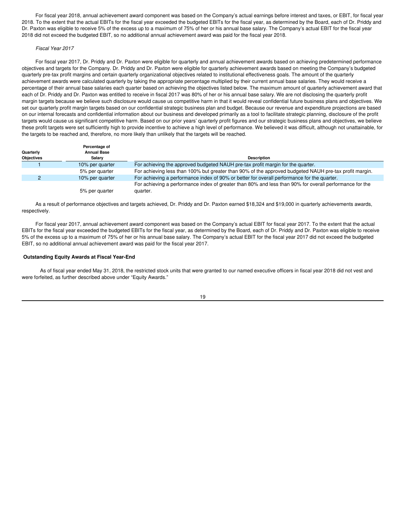For fiscal year 2018, annual achievement award component was based on the Company's actual earnings before interest and taxes, or EBIT, for fiscal year 2018. To the extent that the actual EBITs for the fiscal year exceeded the budgeted EBITs for the fiscal year, as determined by the Board, each of Dr. Priddy and Dr. Paxton was eligible to receive 5% of the excess up to a maximum of 75% of her or his annual base salary. The Company's actual EBIT for the fiscal year 2018 did not exceed the budgeted EBIT, so no additional annual achievement award was paid for the fiscal year 2018.

#### *Fiscal Year 2017*

For fiscal year 2017, Dr. Priddy and Dr. Paxton were eligible for quarterly and annual achievement awards based on achieving predetermined performance objectives and targets for the Company. Dr. Priddy and Dr. Paxton were eligible for quarterly achievement awards based on meeting the Company's budgeted quarterly pre-tax profit margins and certain quarterly organizational objectives related to institutional effectiveness goals. The amount of the quarterly achievement awards were calculated quarterly by taking the appropriate percentage multiplied by their current annual base salaries. They would receive a percentage of their annual base salaries each quarter based on achieving the objectives listed below. The maximum amount of quarterly achievement award that each of Dr. Priddy and Dr. Paxton was entitled to receive in fiscal 2017 was 80% of her or his annual base salary. We are not disclosing the quarterly profit margin targets because we believe such disclosure would cause us competitive harm in that it would reveal confidential future business plans and objectives. We set our quarterly profit margin targets based on our confidential strategic business plan and budget. Because our revenue and expenditure projections are based on our internal forecasts and confidential information about our business and developed primarily as a tool to facilitate strategic planning, disclosure of the profit targets would cause us significant competitive harm. Based on our prior years' quarterly profit figures and our strategic business plans and objectives, we believe these profit targets were set sufficiently high to provide incentive to achieve a high level of performance. We believed it was difficult, although not unattainable, for the targets to be reached and, therefore, no more likely than unlikely that the targets will be reached.

| Quarterly<br><b>Objectives</b> | Percentage of<br><b>Annual Base</b><br>Salarv | <b>Description</b>                                                                                                  |
|--------------------------------|-----------------------------------------------|---------------------------------------------------------------------------------------------------------------------|
|                                | 10% per quarter                               | For achieving the approved budgeted NAUH pre-tax profit margin for the quarter.                                     |
|                                | 5% per quarter                                | For achieving less than 100% but greater than 90% of the approved budgeted NAUH pre-tax profit margin.              |
|                                | 10% per quarter                               | For achieving a performance index of 90% or better for overall performance for the quarter.                         |
|                                | 5% per quarter                                | For achieving a performance index of greater than 80% and less than 90% for overall performance for the<br>quarter. |

As a result of performance objectives and targets achieved, Dr. Priddy and Dr. Paxton earned \$18,324 and \$19,000 in quarterly achievements awards, respectively.

For fiscal year 2017, annual achievement award component was based on the Company's actual EBIT for fiscal year 2017. To the extent that the actual EBITs for the fiscal year exceeded the budgeted EBITs for the fiscal year, as determined by the Board, each of Dr. Priddy and Dr. Paxton was eligible to receive 5% of the excess up to a maximum of 75% of her or his annual base salary. The Company's actual EBIT for the fiscal year 2017 did not exceed the budgeted EBIT, so no additional annual achievement award was paid for the fiscal year 2017.

#### **Outstanding Equity Awards at Fiscal Year-End**

As of fiscal year ended May 31, 2018, the restricted stock units that were granted to our named executive officers in fiscal year 2018 did not vest and were forfeited, as further described above under "Equity Awards."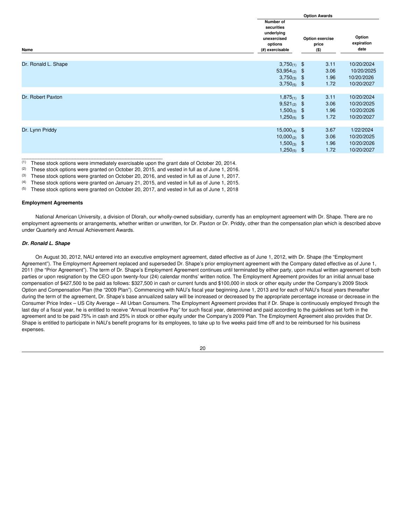|                                                                                            | <b>Option Awards</b>   |                                         |      |                              |
|--------------------------------------------------------------------------------------------|------------------------|-----------------------------------------|------|------------------------------|
| Number of<br>securities<br>underlying<br>unexercised<br>options<br>Name<br>(#) exercisable |                        | <b>Option exercise</b><br>price<br>(\$) |      | Option<br>expiration<br>date |
|                                                                                            |                        |                                         |      |                              |
| Dr. Ronald L. Shape                                                                        | $3,750_{(1)}$ \$       |                                         | 3.11 | 10/20/2024                   |
|                                                                                            | 53,954 $(2)$ \$        |                                         | 3.06 | 10/20/2025                   |
|                                                                                            | $3,750_{(3)}$ \$       |                                         | 1.96 | 10/20/2026                   |
|                                                                                            | $3,750_{(5)}$ \$       |                                         | 1.72 | 10/20/2027                   |
|                                                                                            |                        |                                         |      |                              |
| Dr. Robert Paxton                                                                          | 1,875 $(1)$ \$         |                                         | 3.11 | 10/20/2024                   |
|                                                                                            | $9,521_{(2)}$ \$       |                                         | 3.06 | 10/20/2025                   |
|                                                                                            | $1,500_{(3)}$ \$       |                                         | 1.96 | 10/20/2026                   |
|                                                                                            | 1,250(5) $\$\$         |                                         | 1.72 | 10/20/2027                   |
|                                                                                            |                        |                                         |      |                              |
| Dr. Lynn Priddy                                                                            | $15,000_{(4)}$ \$      |                                         | 3.67 | 1/22/2024                    |
|                                                                                            | $10,000_{(2)}$ \$      |                                         | 3.06 | 10/20/2025                   |
|                                                                                            | $1,500_{(3)}$ \$       |                                         | 1.96 | 10/20/2026                   |
|                                                                                            | 1,250(5) $\frac{6}{3}$ |                                         | 1.72 | 10/20/2027                   |
|                                                                                            |                        |                                         |      |                              |

(1) These stock options were immediately exercisable upon the grant date of October 20, 2014.

(2) These stock options were granted on October 20, 2015, and vested in full as of June 1, 2016.<br>(3) These stock options were granted on October 20, 2016, and vested in full as of June 1, 2017

(3) These stock options were granted on October 20, 2016, and vested in full as of June 1, 2017.<br>(4) These stock options were granted on January 21, 2015, and vested in full as of June 1, 2015.

These stock options were granted on January 21, 2015, and vested in full as of June 1, 2015.

(5) These stock options were granted on October 20, 2017, and vested in full as of June 1, 2018

# **Employment Agreements**

National American University, a division of Dlorah, our wholly-owned subsidiary, currently has an employment agreement with Dr. Shape. There are no employment agreements or arrangements, whether written or unwritten, for Dr. Paxton or Dr. Priddy, other than the compensation plan which is described above under Quarterly and Annual Achievement Awards.

# *Dr. Ronald L. Shape*

On August 30, 2012, NAU entered into an executive employment agreement, dated effective as of June 1, 2012, with Dr. Shape (the "Employment Agreement"). The Employment Agreement replaced and superseded Dr. Shape's prior employment agreement with the Company dated effective as of June 1, 2011 (the "Prior Agreement"). The term of Dr. Shape's Employment Agreement continues until terminated by either party, upon mutual written agreement of both parties or upon resignation by the CEO upon twenty-four (24) calendar months' written notice. The Employment Agreement provides for an initial annual base compensation of \$427,500 to be paid as follows: \$327,500 in cash or current funds and \$100,000 in stock or other equity under the Company's 2009 Stock Option and Compensation Plan (the "2009 Plan"). Commencing with NAU's fiscal year beginning June 1, 2013 and for each of NAU's fiscal years thereafter during the term of the agreement, Dr. Shape's base annualized salary will be increased or decreased by the appropriate percentage increase or decrease in the Consumer Price Index – US City Average – All Urban Consumers. The Employment Agreement provides that if Dr. Shape is continuously employed through the last day of a fiscal year, he is entitled to receive "Annual Incentive Pay" for such fiscal year, determined and paid according to the guidelines set forth in the agreement and to be paid 75% in cash and 25% in stock or other equity under the Company's 2009 Plan. The Employment Agreement also provides that Dr. Shape is entitled to participate in NAU's benefit programs for its employees, to take up to five weeks paid time off and to be reimbursed for his business expenses.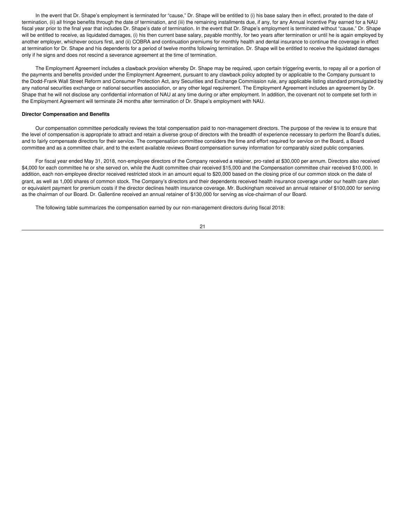In the event that Dr. Shape's employment is terminated for "cause," Dr. Shape will be entitled to (i) his base salary then in effect, prorated to the date of termination, (ii) all fringe benefits through the date of termination, and (iii) the remaining installments due, if any, for any Annual Incentive Pay earned for a NAU fiscal year prior to the final year that includes Dr. Shape's date of termination. In the event that Dr. Shape's employment is terminated without "cause," Dr. Shape will be entitled to receive, as liquidated damages, (i) his then current base salary, payable monthly, for two years after termination or until he is again employed by another employer, whichever occurs first, and (ii) COBRA and continuation premiums for monthly health and dental insurance to continue the coverage in effect at termination for Dr. Shape and his dependents for a period of twelve months following termination. Dr. Shape will be entitled to receive the liquidated damages only if he signs and does not rescind a severance agreement at the time of termination.

The Employment Agreement includes a clawback provision whereby Dr. Shape may be required, upon certain triggering events, to repay all or a portion of the payments and benefits provided under the Employment Agreement, pursuant to any clawback policy adopted by or applicable to the Company pursuant to the Dodd-Frank Wall Street Reform and Consumer Protection Act, any Securities and Exchange Commission rule, any applicable listing standard promulgated by any national securities exchange or national securities association, or any other legal requirement. The Employment Agreement includes an agreement by Dr. Shape that he will not disclose any confidential information of NAU at any time during or after employment. In addition, the covenant not to compete set forth in the Employment Agreement will terminate 24 months after termination of Dr. Shape's employment with NAU.

#### **Director Compensation and Benefits**

Our compensation committee periodically reviews the total compensation paid to non-management directors. The purpose of the review is to ensure that the level of compensation is appropriate to attract and retain a diverse group of directors with the breadth of experience necessary to perform the Board's duties, and to fairly compensate directors for their service. The compensation committee considers the time and effort required for service on the Board, a Board committee and as a committee chair, and to the extent available reviews Board compensation survey information for comparably sized public companies.

For fiscal year ended May 31, 2018, non-employee directors of the Company received a retainer, pro-rated at \$30,000 per annum. Directors also received \$4,000 for each committee he or she served on, while the Audit committee chair received \$15,000 and the Compensation committee chair received \$10,000. In addition, each non-employee director received restricted stock in an amount equal to \$20,000 based on the closing price of our common stock on the date of grant, as well as 1,000 shares of common stock. The Company's directors and their dependents received health insurance coverage under our health care plan or equivalent payment for premium costs if the director declines health insurance coverage. Mr. Buckingham received an annual retainer of \$100,000 for serving as the chairman of our Board. Dr. Gallentine received an annual retainer of \$130,000 for serving as vice-chairman of our Board.

The following table summarizes the compensation earned by our non-management directors during fiscal 2018: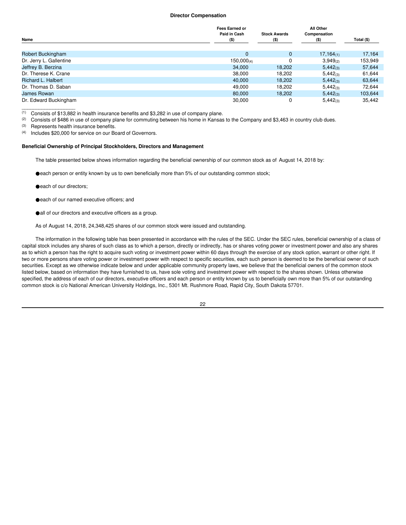#### **Director Compensation**

|                         | <b>Fees Earned or</b><br>Paid in Cash | <b>Stock Awards</b> | <b>All Other</b>        |            |
|-------------------------|---------------------------------------|---------------------|-------------------------|------------|
| Name                    | $($ \$)                               | $($ \$)             | Compensation<br>$($ \$) | Total (\$) |
| Robert Buckingham       | $\Omega$                              | $\mathbf{0}$        | $17,164_{(1)}$          | 17,164     |
| Dr. Jerry L. Gallentine | $150,000_{(4)}$                       | 0                   | $3,949_{(2)}$           | 153,949    |
| Jeffrey B. Berzina      | 34,000                                | 18,202              | $5,442_{(3)}$           | 57,644     |
| Dr. Therese K. Crane    | 38,000                                | 18,202              | $5,442_{(3)}$           | 61,644     |
| Richard L. Halbert      | 40.000                                | 18.202              | $5,442_{(3)}$           | 63,644     |
| Dr. Thomas D. Saban     | 49,000                                | 18,202              | $5,442_{(3)}$           | 72,644     |
| James Rowan             | 80,000                                | 18,202              | $5,442_{(3)}$           | 103,644    |
| Dr. Edward Buckingham   | 30,000                                | 0                   | $5,442_{(3)}$           | 35.442     |

(1) Consists of \$13,882 in health insurance benefits and \$3,282 in use of company plane.<br>(2) Consists of \$486 in use of company plane for commuting between his home in Kansas

Consists of \$486 in use of company plane for commuting between his home in Kansas to the Company and \$3,463 in country club dues.

(3) Represents health insurance benefits.

 $\overline{\phantom{a}}$  ,  $\overline{\phantom{a}}$  ,  $\overline{\phantom{a}}$  ,  $\overline{\phantom{a}}$  ,  $\overline{\phantom{a}}$  ,  $\overline{\phantom{a}}$  ,  $\overline{\phantom{a}}$  ,  $\overline{\phantom{a}}$  ,  $\overline{\phantom{a}}$  ,  $\overline{\phantom{a}}$  ,  $\overline{\phantom{a}}$  ,  $\overline{\phantom{a}}$  ,  $\overline{\phantom{a}}$  ,  $\overline{\phantom{a}}$  ,  $\overline{\phantom{a}}$  ,  $\overline{\phantom{a}}$ 

(4) Includes \$20,000 for service on our Board of Governors.

#### **Beneficial Ownership of Principal Stockholders, Directors and Management**

The table presented below shows information regarding the beneficial ownership of our common stock as of August 14, 2018 by:

●each person or entity known by us to own beneficially more than 5% of our outstanding common stock;

- ●each of our directors;
- ●each of our named executive officers; and
- ●all of our directors and executive officers as a group.

As of August 14, 2018, 24,348,425 shares of our common stock were issued and outstanding.

The information in the following table has been presented in accordance with the rules of the SEC. Under the SEC rules, beneficial ownership of a class of capital stock includes any shares of such class as to which a person, directly or indirectly, has or shares voting power or investment power and also any shares as to which a person has the right to acquire such voting or investment power within 60 days through the exercise of any stock option, warrant or other right. If two or more persons share voting power or investment power with respect to specific securities, each such person is deemed to be the beneficial owner of such securities. Except as we otherwise indicate below and under applicable community property laws, we believe that the beneficial owners of the common stock listed below, based on information they have furnished to us, have sole voting and investment power with respect to the shares shown. Unless otherwise specified, the address of each of our directors, executive officers and each person or entity known by us to beneficially own more than 5% of our outstanding common stock is c/o National American University Holdings, Inc., 5301 Mt. Rushmore Road, Rapid City, South Dakota 57701.

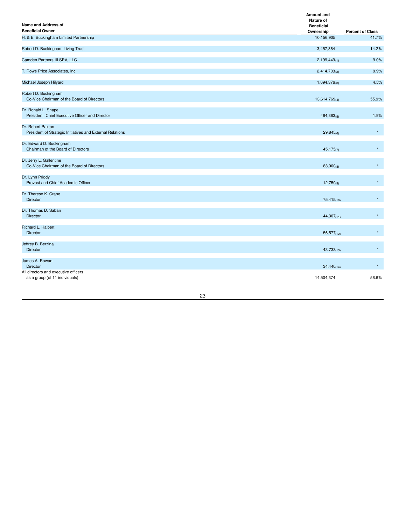| Name and Address of<br><b>Beneficial Owner</b>                                 | <b>Amount and</b><br>Nature of<br><b>Beneficial</b> |                                  |
|--------------------------------------------------------------------------------|-----------------------------------------------------|----------------------------------|
| H. & E. Buckingham Limited Partnership                                         | Ownership<br>10,156,905                             | <b>Percent of Class</b><br>41.7% |
|                                                                                |                                                     |                                  |
| Robert D. Buckingham Living Trust                                              | 3,457,864                                           | 14.2%                            |
| Camden Partners III SPV, LLC                                                   | $2,199,449_{(1)}$                                   | 9.0%                             |
| T. Rowe Price Associates, Inc.                                                 | $2,414,703_{(2)}$                                   | 9.9%                             |
| Michael Joseph Hilyard                                                         | $1,094,376_{(3)}$                                   | 4.5%                             |
| Robert D. Buckingham<br>Co-Vice Chairman of the Board of Directors             | $13,614,769_{(4)}$                                  | 55.9%                            |
| Dr. Ronald L. Shape<br>President, Chief Executive Officer and Director         | $464,363_{(5)}$                                     | 1.9%                             |
| Dr. Robert Paxton<br>President of Strategic Initiatives and External Relations | $29,845_{(6)}$                                      | $\star$                          |
| Dr. Edward D. Buckingham<br>Chairman of the Board of Directors                 | $45,175$ <sub>(7)</sub>                             | $\star$                          |
| Dr. Jerry L. Gallentine<br>Co-Vice Chairman of the Board of Directors          | $83,000_{(8)}$                                      | $\star$                          |
| Dr. Lynn Priddy<br>Provost and Chief Academic Officer                          | $12,750_{(9)}$                                      | $\star$                          |
| Dr. Therese K. Crane<br><b>Director</b>                                        | $75,415$ <sub>(10)</sub>                            | $\star$                          |
| Dr. Thomas D. Saban<br><b>Director</b>                                         | $44,307_{(11)}$                                     | $\star$                          |
| Richard L. Halbert<br><b>Director</b>                                          | $56,577$ <sub>(12)</sub>                            | $\star$                          |
| Jeffrey B. Berzina<br><b>Director</b>                                          | $43,733_{(13)}$                                     | $\star$                          |
| James A. Rowan<br><b>Director</b>                                              | $34,440_{(14)}$                                     | $\star$                          |
| All directors and executive officers<br>as a group (of 11 individuals)         | 14,504,374                                          | 56.6%                            |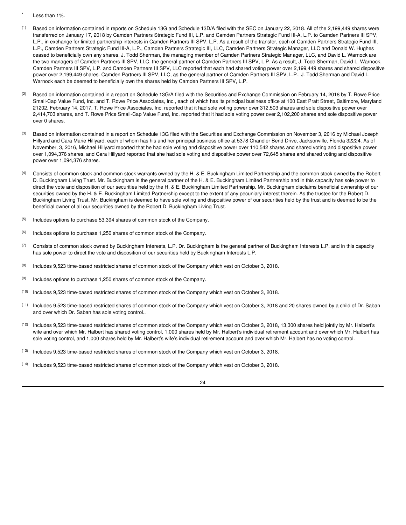- Less than 1%.
- (1) Based on information contained in reports on Schedule 13G and Schedule 13D/A filed with the SEC on January 22, 2018. All of the 2,199,449 shares were transferred on January 17, 2018 by Camden Partners Strategic Fund III, L.P. and Camden Partners Strategic Fund III-A, L.P. to Camden Partners III SPV, L.P., in exchange for limited partnership interests in Camden Partners III SPV, L.P. As a result of the transfer, each of Camden Partners Strategic Fund III, L.P., Camden Partners Strategic Fund III-A, L.P., Camden Partners Strategic III, LLC, Camden Partners Strategic Manager, LLC and Donald W. Hughes ceased to beneficially own any shares. J. Todd Sherman, the managing member of Camden Partners Strategic Manager, LLC, and David L. Warnock are the two managers of Camden Partners III SPV, LLC, the general partner of Camden Partners III SPV, L.P. As a result, J. Todd Sherman, David L. Warnock, Camden Partners III SPV, L.P. and Camden Partners III SPV, LLC reported that each had shared voting power over 2,199,449 shares and shared dispositive power over 2,199,449 shares. Camden Partners III SPV, LLC, as the general partner of Camden Partners III SPV, L.P., J. Todd Sherman and David L. Warnock each be deemed to beneficially own the shares held by Camden Partners III SPV, L.P.
- Based on information contained in a report on Schedule 13G/A filed with the Securities and Exchange Commission on February 14, 2018 by T. Rowe Price Small-Cap Value Fund, Inc. and T. Rowe Price Associates, Inc., each of which has its principal business office at 100 East Pratt Street, Baltimore, Maryland 21202. February 14, 2017, T. Rowe Price Associates, Inc. reported that it had sole voting power over 312,503 shares and sole dispositive power over 2,414,703 shares, and T. Rowe Price Small-Cap Value Fund, Inc. reported that it had sole voting power over 2,102,200 shares and sole dispositive power over 0 shares.
- (3) Based on information contained in a report on Schedule 13G filed with the Securities and Exchange Commission on November 3, 2016 by Michael Joseph Hillyard and Cara Marie Hillyard, each of whom has his and her principal business office at 5378 Chandler Bend Drive, Jacksonville, Florida 32224. As of November, 3, 2016, Michael Hillyard reported that he had sole voting and dispositive power over 110,542 shares and shared voting and dispositive power over 1,094,376 shares, and Cara Hillyard reported that she had sole voting and dispositive power over 72,645 shares and shared voting and dispositive power over 1,094,376 shares.
- (4) Consists of common stock and common stock warrants owned by the H. & E. Buckingham Limited Partnership and the common stock owned by the Robert D. Buckingham Living Trust. Mr. Buckingham is the general partner of the H. & E. Buckingham Limited Partnership and in this capacity has sole power to direct the vote and disposition of our securities held by the H. & E. Buckingham Limited Partnership. Mr. Buckingham disclaims beneficial ownership of our securities owned by the H. & E. Buckingham Limited Partnership except to the extent of any pecuniary interest therein. As the trustee for the Robert D. Buckingham Living Trust, Mr. Buckingham is deemed to have sole voting and dispositive power of our securities held by the trust and is deemed to be the beneficial owner of all our securities owned by the Robert D. Buckingham Living Trust.
- (5) Includes options to purchase 53,394 shares of common stock of the Company.
- (6) Includes options to purchase 1,250 shares of common stock of the Company.
- (7) Consists of common stock owned by Buckingham Interests, L.P. Dr. Buckingham is the general partner of Buckingham Interests L.P. and in this capacity has sole power to direct the vote and disposition of our securities held by Buckingham Interests L.P.
- (8) Includes 9,523 time-based restricted shares of common stock of the Company which vest on October 3, 2018.
- (9) Includes options to purchase 1,250 shares of common stock of the Company.
- (10) Includes 9,523 time-based restricted shares of common stock of the Company which vest on October 3, 2018.
- (11) Includes 9,523 time-based restricted shares of common stock of the Company which vest on October 3, 2018 and 20 shares owned by a child of Dr. Saban and over which Dr. Saban has sole voting control..
- (12) Includes 9,523 time-based restricted shares of common stock of the Company which vest on October 3, 2018, 13,300 shares held jointly by Mr. Halbert's wife and over which Mr. Halbert has shared voting control, 1,000 shares held by Mr. Halbert's individual retirement account and over which Mr. Halbert has sole voting control, and 1,000 shares held by Mr. Halbert's wife's individual retirement account and over which Mr. Halbert has no voting control.
- (13) Includes 9,523 time-based restricted shares of common stock of the Company which vest on October 3, 2018.
- (14) Includes 9,523 time-based restricted shares of common stock of the Company which vest on October 3, 2018.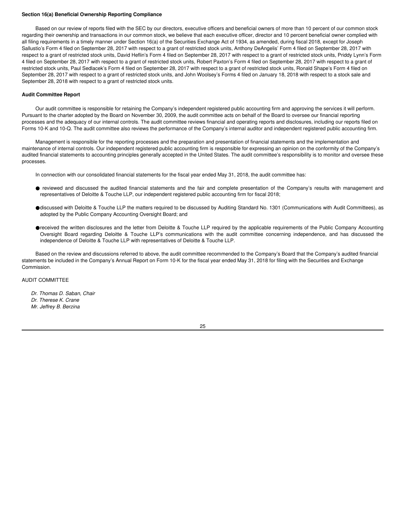#### **Section 16(a) Beneficial Ownership Reporting Compliance**

Based on our review of reports filed with the SEC by our directors, executive officers and beneficial owners of more than 10 percent of our common stock regarding their ownership and transactions in our common stock, we believe that each executive officer, director and 10 percent beneficial owner complied with all filing requirements in a timely manner under Section 16(a) of the Securities Exchange Act of 1934, as amended, during fiscal 2018, except for Joseph Sallustio's Form 4 filed on September 28, 2017 with respect to a grant of restricted stock units, Anthony DeAngelis' Form 4 filed on September 28, 2017 with respect to a grant of restricted stock units, David Heflin's Form 4 filed on September 28, 2017 with respect to a grant of restricted stock units, Priddy Lynn's Form 4 filed on September 28, 2017 with respect to a grant of restricted stock units, Robert Paxton's Form 4 filed on September 28, 2017 with respect to a grant of restricted stock units, Paul Sedlacek's Form 4 filed on September 28, 2017 with respect to a grant of restricted stock units, Ronald Shape's Form 4 filed on September 28, 2017 with respect to a grant of restricted stock units, and John Woolsey's Forms 4 filed on January 18, 2018 with respect to a stock sale and September 28, 2018 with respect to a grant of restricted stock units.

#### **Audit Committee Report**

Our audit committee is responsible for retaining the Company's independent registered public accounting firm and approving the services it will perform. Pursuant to the charter adopted by the Board on November 30, 2009, the audit committee acts on behalf of the Board to oversee our financial reporting processes and the adequacy of our internal controls. The audit committee reviews financial and operating reports and disclosures, including our reports filed on Forms 10-K and 10-Q. The audit committee also reviews the performance of the Company's internal auditor and independent registered public accounting firm.

Management is responsible for the reporting processes and the preparation and presentation of financial statements and the implementation and maintenance of internal controls. Our independent registered public accounting firm is responsible for expressing an opinion on the conformity of the Company's audited financial statements to accounting principles generally accepted in the United States. The audit committee's responsibility is to monitor and oversee these processes.

In connection with our consolidated financial statements for the fiscal year ended May 31, 2018, the audit committee has:

- reviewed and discussed the audited financial statements and the fair and complete presentation of the Company's results with management and representatives of Deloitte & Touche LLP, our independent registered public accounting firm for fiscal 2018;
- ●discussed with Deloitte & Touche LLP the matters required to be discussed by Auditing Standard No. 1301 (Communications with Audit Committees), as adopted by the Public Company Accounting Oversight Board; and
- ●received the written disclosures and the letter from Deloitte & Touche LLP required by the applicable requirements of the Public Company Accounting Oversight Board regarding Deloitte & Touche LLP's communications with the audit committee concerning independence, and has discussed the independence of Deloitte & Touche LLP with representatives of Deloitte & Touche LLP.

Based on the review and discussions referred to above, the audit committee recommended to the Company's Board that the Company's audited financial statements be included in the Company's Annual Report on Form 10-K for the fiscal year ended May 31, 2018 for filing with the Securities and Exchange Commission.

AUDIT COMMITTEE

*Dr. Thomas D. Saban, Chair Dr. Therese K. Crane Mr. Jeffrey B. Berzina*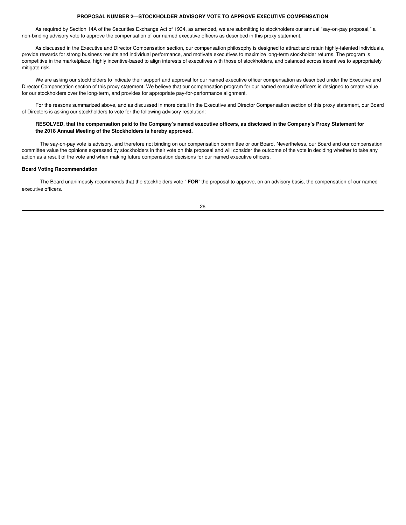# **PROPOSAL NUMBER 2—STOCKHOLDER ADVISORY VOTE TO APPROVE EXECUTIVE COMPENSATION**

As required by Section 14A of the Securities Exchange Act of 1934, as amended, we are submitting to stockholders our annual "say-on-pay proposal," a non-binding advisory vote to approve the compensation of our named executive officers as described in this proxy statement.

As discussed in the Executive and Director Compensation section, our compensation philosophy is designed to attract and retain highly-talented individuals, provide rewards for strong business results and individual performance, and motivate executives to maximize long-term stockholder returns. The program is competitive in the marketplace, highly incentive-based to align interests of executives with those of stockholders, and balanced across incentives to appropriately mitigate risk.

We are asking our stockholders to indicate their support and approval for our named executive officer compensation as described under the Executive and Director Compensation section of this proxy statement. We believe that our compensation program for our named executive officers is designed to create value for our stockholders over the long-term, and provides for appropriate pay-for-performance alignment.

For the reasons summarized above, and as discussed in more detail in the Executive and Director Compensation section of this proxy statement, our Board of Directors is asking our stockholders to vote for the following advisory resolution:

# RESOLVED, that the compensation paid to the Company's named executive officers, as disclosed in the Company's Proxy Statement for **the 2018 Annual Meeting of the Stockholders is hereby approved.**

The say-on-pay vote is advisory, and therefore not binding on our compensation committee or our Board. Nevertheless, our Board and our compensation committee value the opinions expressed by stockholders in their vote on this proposal and will consider the outcome of the vote in deciding whether to take any action as a result of the vote and when making future compensation decisions for our named executive officers.

#### **Board Voting Recommendation**

The Board unanimously recommends that the stockholders vote " **FOR**" the proposal to approve, on an advisory basis, the compensation of our named executive officers.

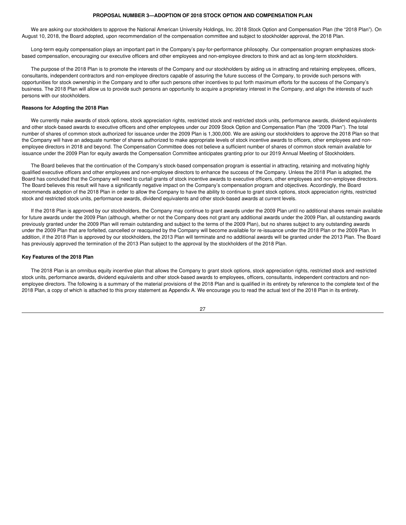#### **PROPOSAL NUMBER 3—ADOPTION OF 2018 STOCK OPTION AND COMPENSATION PLAN**

We are asking our stockholders to approve the National American University Holdings, Inc. 2018 Stock Option and Compensation Plan (the "2018 Plan"). On August 10, 2018, the Board adopted, upon recommendation of the compensation committee and subject to stockholder approval, the 2018 Plan.

Long-term equity compensation plays an important part in the Company's pay-for-performance philosophy. Our compensation program emphasizes stockbased compensation, encouraging our executive officers and other employees and non-employee directors to think and act as long-term stockholders.

The purpose of the 2018 Plan is to promote the interests of the Company and our stockholders by aiding us in attracting and retaining employees, officers, consultants, independent contractors and non-employee directors capable of assuring the future success of the Company, to provide such persons with opportunities for stock ownership in the Company and to offer such persons other incentives to put forth maximum efforts for the success of the Company's business. The 2018 Plan will allow us to provide such persons an opportunity to acquire a proprietary interest in the Company, and align the interests of such persons with our stockholders.

# **Reasons for Adopting the 2018 Plan**

We currently make awards of stock options, stock appreciation rights, restricted stock and restricted stock units, performance awards, dividend equivalents and other stock-based awards to executive officers and other employees under our 2009 Stock Option and Compensation Plan (the "2009 Plan"). The total number of shares of common stock authorized for issuance under the 2009 Plan is 1,300,000. We are asking our stockholders to approve the 2018 Plan so that the Company will have an adequate number of shares authorized to make appropriate levels of stock incentive awards to officers, other employees and nonemployee directors in 2018 and beyond. The Compensation Committee does not believe a sufficient number of shares of common stock remain available for issuance under the 2009 Plan for equity awards the Compensation Committee anticipates granting prior to our 2019 Annual Meeting of Stockholders.

The Board believes that the continuation of the Company's stock-based compensation program is essential in attracting, retaining and motivating highly qualified executive officers and other employees and non-employee directors to enhance the success of the Company. Unless the 2018 Plan is adopted, the Board has concluded that the Company will need to curtail grants of stock incentive awards to executive officers, other employees and non-employee directors. The Board believes this result will have a significantly negative impact on the Company's compensation program and objectives. Accordingly, the Board recommends adoption of the 2018 Plan in order to allow the Company to have the ability to continue to grant stock options, stock appreciation rights, restricted stock and restricted stock units, performance awards, dividend equivalents and other stock-based awards at current levels.

If the 2018 Plan is approved by our stockholders, the Company may continue to grant awards under the 2009 Plan until no additional shares remain available for future awards under the 2009 Plan (although, whether or not the Company does not grant any additional awards under the 2009 Plan, all outstanding awards previously granted under the 2009 Plan will remain outstanding and subject to the terms of the 2009 Plan), but no shares subject to any outstanding awards under the 2009 Plan that are forfeited, cancelled or reacquired by the Company will become available for re-issuance under the 2018 Plan or the 2009 Plan. In addition, if the 2018 Plan is approved by our stockholders, the 2013 Plan will terminate and no additional awards will be granted under the 2013 Plan. The Board has previously approved the termination of the 2013 Plan subject to the approval by the stockholders of the 2018 Plan.

#### **Key Features of the 2018 Plan**

The 2018 Plan is an omnibus equity incentive plan that allows the Company to grant stock options, stock appreciation rights, restricted stock and restricted stock units, performance awards, dividend equivalents and other stock-based awards to employees, officers, consultants, independent contractors and nonemployee directors. The following is a summary of the material provisions of the 2018 Plan and is qualified in its entirety by reference to the complete text of the 2018 Plan, a copy of which is attached to this proxy statement as Appendix A. We encourage you to read the actual text of the 2018 Plan in its entirety.

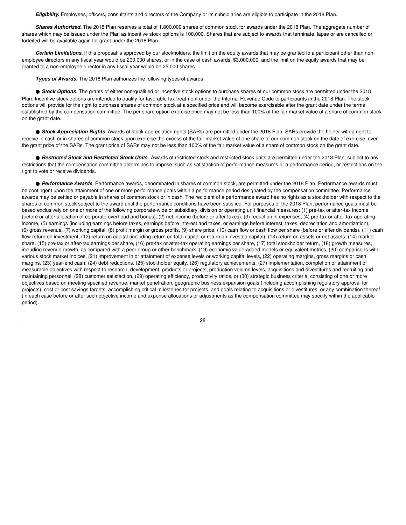*Eligibility.* Employees, officers, consultants and directors of the Company or its subsidiaries are eligible to participate in the 2018 Plan.

*Shares Authorized.* The 2018 Plan reserves a total of 1,800,000 shares of common stock for awards under the 2018 Plan. The aggregate number of shares which may be issued under the Plan as incentive stock options is 100,000. Shares that are subject to awards that terminate, lapse or are cancelled or forfeited will be available again for grant under the 2018 Plan.

*Certain Limitations.* If this proposal is approved by our stockholders, the limit on the equity awards that may be granted to a participant other than nonemployee directors in any fiscal year would be 200,000 shares, or in the case of cash awards, \$3,000,000, and the limit on the equity awards that may be granted to a non-employee director in any fiscal year would be 25,000 shares.

*Types of Awards.* The 2018 Plan authorizes the following types of awards:

● **Stock Options**. The grants of either non-qualified or incentive stock options to purchase shares of our common stock are permitted under the 2018 Plan. Incentive stock options are intended to qualify for favorable tax treatment under the Internal Revenue Code to participants in the 2018 Plan. The stock options will provide for the right to purchase shares of common stock at a specified price and will become exercisable after the grant date under the terms established by the compensation committee. The per share option exercise price may not be less than 100% of the fair market value of a share of common stock on the grant date.

● **Stock Appreciation Rights**. Awards of stock appreciation rights (SARs) are permitted under the 2018 Plan. SARs provide the holder with a right to receive in cash or in shares of common stock upon exercise the excess of the fair market value of one share of our common stock on the date of exercise, over the grant price of the SARs. The grant price of SARs may not be less than 100% of the fair market value of a share of common stock on the grant date.

● **Restricted Stock and Restricted Stock Units**. Awards of restricted stock and restricted stock units are permitted under the 2018 Plan, subject to any restrictions that the compensation committee determines to impose, such as satisfaction of performance measures or a performance period, or restrictions on the right to vote or receive dividends.

● **Performance Awards**. Performance awards, denominated in shares of common stock, are permitted under the 2018 Plan. Performance awards must be contingent upon the attainment of one or more performance goals within a performance period designated by the compensation committee. Performance awards may be settled or payable in shares of common stock or in cash. The recipient of a performance award has no rights as a stockholder with respect to the shares of common stock subject to the award until the performance conditions have been satisfied. For purposes of the 2018 Plan, performance goals must be based exclusively on one or more of the following corporate-wide or subsidiary, division or operating unit financial measures: (1) pre-tax or after-tax income (before or after allocation of corporate overhead and bonus), (2) net income (before or after taxes), (3) reduction in expenses, (4) pre-tax or after-tax operating income, (5) earnings (including earnings before taxes, earnings before interest and taxes, or earnings before interest, taxes, depreciation and amortization), (6) gross revenue, (7) working capital, (8) profit margin or gross profits, (9) share price, (10) cash flow or cash flow per share (before or after dividends), (11) cash flow return on investment, (12) return on capital (including return on total capital or return on invested capital), (13) return on assets or net assets, (14) market share, (15) pre-tax or after-tax earnings per share, (16) pre-tax or after-tax operating earnings per share, (17) total stockholder return, (18) growth measures, including revenue growth, as compared with a peer group or other benchmark, (19) economic value-added models or equivalent metrics, (20) comparisons with various stock market indices, (21) improvement in or attainment of expense levels or working capital levels, (22) operating margins, gross margins or cash margins, (23) year-end cash, (24) debt reductions, (25) stockholder equity, (26) regulatory achievements, (27) implementation, completion or attainment of measurable objectives with respect to research, development, products or projects, production volume levels, acquisitions and divestitures and recruiting and maintaining personnel, (28) customer satisfaction, (29) operating efficiency, productivity ratios, or (30) strategic business criteria, consisting of one or more objectives based on meeting specified revenue, market penetration, geographic business expansion goals (including accomplishing regulatory approval for projects), cost or cost savings targets, accomplishing critical milestones for projects, and goals relating to acquisitions or divestitures, or any combination thereof (in each case before or after such objective income and expense allocations or adjustments as the compensation committee may specify within the applicable period).

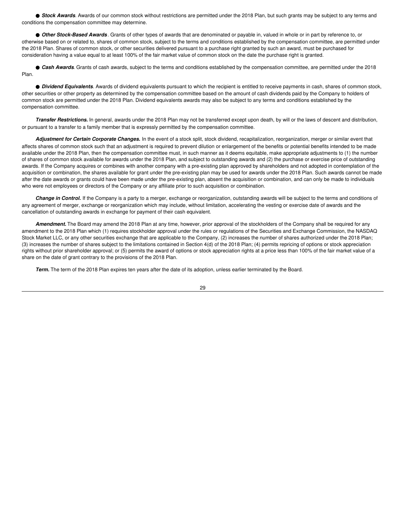● **Stock Awards**. Awards of our common stock without restrictions are permitted under the 2018 Plan, but such grants may be subject to any terms and conditions the compensation committee may determine.

● *Other Stock-Based Awards*. Grants of other types of awards that are denominated or payable in, valued in whole or in part by reference to, or otherwise based on or related to, shares of common stock, subject to the terms and conditions established by the compensation committee, are permitted under the 2018 Plan. Shares of common stock, or other securities delivered pursuant to a purchase right granted by such an award, must be purchased for consideration having a value equal to at least 100% of the fair market value of common stock on the date the purchase right is granted.

● *Cash Awards*. Grants of cash awards, subject to the terms and conditions established by the compensation committee, are permitted under the 2018 Plan.

● *Dividend Equivalents*. Awards of dividend equivalents pursuant to which the recipient is entitled to receive payments in cash, shares of common stock, other securities or other property as determined by the compensation committee based on the amount of cash dividends paid by the Company to holders of common stock are permitted under the 2018 Plan. Dividend equivalents awards may also be subject to any terms and conditions established by the compensation committee.

*Transfer Restrictions.* In general, awards under the 2018 Plan may not be transferred except upon death, by will or the laws of descent and distribution, or pursuant to a transfer to a family member that is expressly permitted by the compensation committee.

*Adjustment for Certain Corporate Changes.* In the event of a stock split, stock dividend, recapitalization, reorganization, merger or similar event that affects shares of common stock such that an adjustment is required to prevent dilution or enlargement of the benefits or potential benefits intended to be made available under the 2018 Plan, then the compensation committee must, in such manner as it deems equitable, make appropriate adjustments to (1) the number of shares of common stock available for awards under the 2018 Plan, and subject to outstanding awards and (2) the purchase or exercise price of outstanding awards. If the Company acquires or combines with another company with a pre-existing plan approved by shareholders and not adopted in contemplation of the acquisition or combination, the shares available for grant under the pre-existing plan may be used for awards under the 2018 Plan. Such awards cannot be made after the date awards or grants could have been made under the pre-existing plan, absent the acquisition or combination, and can only be made to individuals who were not employees or directors of the Company or any affiliate prior to such acquisition or combination.

*Change in Control.* If the Company is a party to a merger, exchange or reorganization, outstanding awards will be subject to the terms and conditions of any agreement of merger, exchange or reorganization which may include, without limitation, accelerating the vesting or exercise date of awards and the cancellation of outstanding awards in exchange for payment of their cash equivalent.

*Amendment.* The Board may amend the 2018 Plan at any time, however, prior approval of the stockholders of the Company shall be required for any amendment to the 2018 Plan which (1) requires stockholder approval under the rules or regulations of the Securities and Exchange Commission, the NASDAQ Stock Market LLC, or any other securities exchange that are applicable to the Company, (2) increases the number of shares authorized under the 2018 Plan; (3) increases the number of shares subject to the limitations contained in Section 4(d) of the 2018 Plan; (4) permits repricing of options or stock appreciation rights without prior shareholder approval; or (5) permits the award of options or stock appreciation rights at a price less than 100% of the fair market value of a share on the date of grant contrary to the provisions of the 2018 Plan.

*Term.* The term of the 2018 Plan expires ten years after the date of its adoption, unless earlier terminated by the Board.

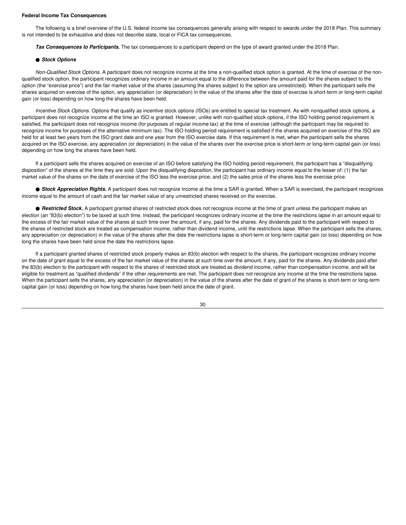#### **Federal Income Tax Consequences**

The following is a brief overview of the U.S. federal income tax consequences generally arising with respect to awards under the 2018 Plan. This summary is not intended to be exhaustive and does not describe state, local or FICA tax consequences.

*Tax Consequences to Participants.* The tax consequences to a participant depend on the type of award granted under the 2018 Plan.

#### ● *Stock Options*

*Non-Qualified Stock Options.* A participant does not recognize income at the time a non-qualified stock option is granted. At the time of exercise of the nonqualified stock option, the participant recognizes ordinary income in an amount equal to the difference between the amount paid for the shares subject to the option (the "exercise price") and the fair market value of the shares (assuming the shares subject to the option are unrestricted). When the participant sells the shares acquired on exercise of the option, any appreciation (or depreciation) in the value of the shares after the date of exercise is short-term or long-term capital gain (or loss) depending on how long the shares have been held.

*Incentive Stock Options.* Options that qualify as incentive stock options (ISOs) are entitled to special tax treatment. As with nonqualified stock options, a participant does not recognize income at the time an ISO is granted. However, unlike with non-qualified stock options, if the ISO holding period requirement is satisfied, the participant does not recognize income (for purposes of regular income tax) at the time of exercise (although the participant may be required to recognize income for purposes of the alternative minimum tax). The ISO holding period requirement is satisfied if the shares acquired on exercise of the ISO are held for at least two years from the ISO grant date and one year from the ISO exercise date. If this requirement is met, when the participant sells the shares acquired on the ISO exercise, any appreciation (or depreciation) in the value of the shares over the exercise price is short-term or long-term capital gain (or loss) depending on how long the shares have been held.

If a participant sells the shares acquired on exercise of an ISO before satisfying the ISO holding period requirement, the participant has a "disqualifying disposition" of the shares at the time they are sold. Upon the disqualifying disposition, the participant has ordinary income equal to the lesser of: (1) the fair market value of the shares on the date of exercise of the ISO less the exercise price; and (2) the sales price of the shares less the exercise price.

● **Stock Appreciation Rights.** A participant does not recognize income at the time a SAR is granted. When a SAR is exercised, the participant recognizes income equal to the amount of cash and the fair market value of any unrestricted shares received on the exercise.

● **Restricted Stock**. A participant granted shares of restricted stock does not recognize income at the time of grant unless the participant makes an election (an "83(b) election") to be taxed at such time. Instead, the participant recognizes ordinary income at the time the restrictions lapse in an amount equal to the excess of the fair market value of the shares at such time over the amount, if any, paid for the shares. Any dividends paid to the participant with respect to the shares of restricted stock are treated as compensation income, rather than dividend income, until the restrictions lapse. When the participant sells the shares, any appreciation (or depreciation) in the value of the shares after the date the restrictions lapse is short-term or long-term capital gain (or loss) depending on how long the shares have been held since the date the restrictions lapse.

If a participant granted shares of restricted stock properly makes an 83(b) election with respect to the shares, the participant recognizes ordinary income on the date of grant equal to the excess of the fair market value of the shares at such time over the amount, if any, paid for the shares. Any dividends paid after the 83(b) election to the participant with respect to the shares of restricted stock are treated as dividend income, rather than compensation income, and will be eligible for treatment as "qualified dividends" if the other requirements are met. The participant does not recognize any income at the time the restrictions lapse. When the participant sells the shares, any appreciation (or depreciation) in the value of the shares after the date of grant of the shares is short-term or long-term capital gain (or loss) depending on how long the shares have been held since the date of grant.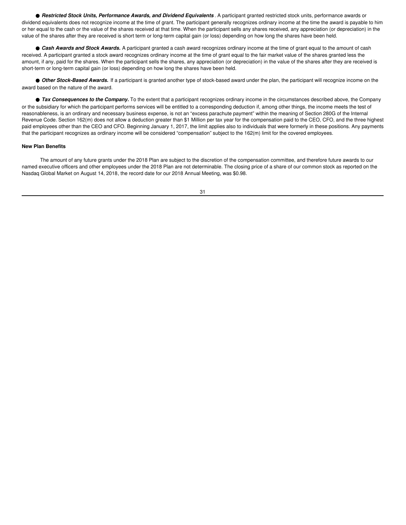● **Restricted Stock Units, Performance Awards, and Dividend Equivalents . A participant granted restricted stock units, performance awards or** dividend equivalents does not recognize income at the time of grant. The participant generally recognizes ordinary income at the time the award is payable to him or her equal to the cash or the value of the shares received at that time. When the participant sells any shares received, any appreciation (or depreciation) in the value of the shares after they are received is short term or long-term capital gain (or loss) depending on how long the shares have been held.

● *Cash Awards and Stock Awards.* A participant granted a cash award recognizes ordinary income at the time of grant equal to the amount of cash received. A participant granted a stock award recognizes ordinary income at the time of grant equal to the fair market value of the shares granted less the amount, if any, paid for the shares. When the participant sells the shares, any appreciation (or depreciation) in the value of the shares after they are received is short-term or long-term capital gain (or loss) depending on how long the shares have been held.

● Other Stock-Based Awards. If a participant is granted another type of stock-based award under the plan, the participant will recognize income on the award based on the nature of the award.

● **Tax Consequences to the Company.** To the extent that a participant recognizes ordinary income in the circumstances described above, the Company or the subsidiary for which the participant performs services will be entitled to a corresponding deduction if, among other things, the income meets the test of reasonableness, is an ordinary and necessary business expense, is not an "excess parachute payment" within the meaning of Section 280G of the Internal Revenue Code. Section 162(m) does not allow a deduction greater than \$1 Million per tax year for the compensation paid to the CEO, CFO, and the three highest paid employees other than the CEO and CFO. Beginning January 1, 2017, the limit applies also to individuals that were formerly in these positions. Any payments that the participant recognizes as ordinary income will be considered "compensation" subject to the 162(m) limit for the covered employees.

# **New Plan Benefits**

The amount of any future grants under the 2018 Plan are subject to the discretion of the compensation committee, and therefore future awards to our named executive officers and other employees under the 2018 Plan are not determinable. The closing price of a share of our common stock as reported on the Nasdaq Global Market on August 14, 2018, the record date for our 2018 Annual Meeting, was \$0.98.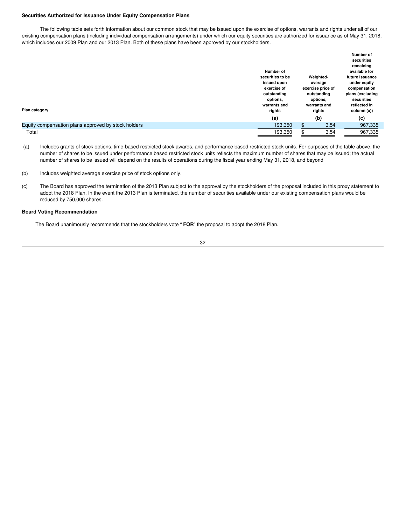#### **Securities Authorized for Issuance Under Equity Compensation Plans**

The following table sets forth information about our common stock that may be issued upon the exercise of options, warrants and rights under all of our existing compensation plans (including individual compensation arrangements) under which our equity securities are authorized for issuance as of May 31, 2018, which includes our 2009 Plan and our 2013 Plan. Both of these plans have been approved by our stockholders.

|                                                     |                  |                   | Number of        |
|-----------------------------------------------------|------------------|-------------------|------------------|
|                                                     |                  |                   | securities       |
|                                                     |                  |                   | remaining        |
|                                                     | Number of        |                   | available for    |
|                                                     | securities to be | Weighted-         | future issuance  |
|                                                     | issued upon      | average           | under equity     |
|                                                     | exercise of      | exercise price of | compensation     |
|                                                     | outstanding      | outstanding       | plans (excluding |
|                                                     | options,         | options,          | securities       |
|                                                     | warrants and     | warrants and      | reflected in     |
| Plan category                                       | rights           | rights            | column (a))      |
|                                                     | (a)              | (b)               | (c)              |
| Equity compensation plans approved by stock holders | 193,350          | \$<br>3.54        | 967,335          |
| Total                                               | 193,350          | 3.54              | 967,335          |

(a) Includes grants of stock options, time-based restricted stock awards, and performance based restricted stock units. For purposes of the table above, the number of shares to be issued under performance based restricted stock units reflects the maximum number of shares that may be issued; the actual number of shares to be issued will depend on the results of operations during the fiscal year ending May 31, 2018, and beyond

- (b) Includes weighted average exercise price of stock options only.
- (c) The Board has approved the termination of the 2013 Plan subject to the approval by the stockholders of the proposal included in this proxy statement to adopt the 2018 Plan. In the event the 2013 Plan is terminated, the number of securities available under our existing compensation plans would be reduced by 750,000 shares.

#### **Board Voting Recommendation**

The Board unanimously recommends that the stockholders vote " **FOR**" the proposal to adopt the 2018 Plan.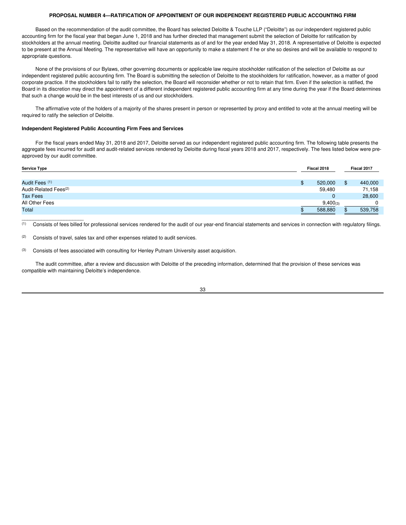# **PROPOSAL NUMBER 4—RATIFICATION OF APPOINTMENT OF OUR INDEPENDENT REGISTERED PUBLIC ACCOUNTING FIRM**

Based on the recommendation of the audit committee, the Board has selected Deloitte & Touche LLP ("Deloitte") as our independent registered public accounting firm for the fiscal year that began June 1, 2018 and has further directed that management submit the selection of Deloitte for ratification by stockholders at the annual meeting. Deloitte audited our financial statements as of and for the year ended May 31, 2018. A representative of Deloitte is expected to be present at the Annual Meeting. The representative will have an opportunity to make a statement if he or she so desires and will be available to respond to appropriate questions.

None of the provisions of our Bylaws, other governing documents or applicable law require stockholder ratification of the selection of Deloitte as our independent registered public accounting firm. The Board is submitting the selection of Deloitte to the stockholders for ratification, however, as a matter of good corporate practice. If the stockholders fail to ratify the selection, the Board will reconsider whether or not to retain that firm. Even if the selection is ratified, the Board in its discretion may direct the appointment of a different independent registered public accounting firm at any time during the year if the Board determines that such a change would be in the best interests of us and our stockholders.

The affirmative vote of the holders of a majority of the shares present in person or represented by proxy and entitled to vote at the annual meeting will be required to ratify the selection of Deloitte.

#### **Independent Registered Public Accounting Firm Fees and Services**

For the fiscal years ended May 31, 2018 and 2017, Deloitte served as our independent registered public accounting firm. The following table presents the aggregate fees incurred for audit and audit-related services rendered by Deloitte during fiscal years 2018 and 2017, respectively. The fees listed below were preapproved by our audit committee.

| <b>Service Type</b>               | Fiscal 2018   | Fiscal 2017 |
|-----------------------------------|---------------|-------------|
|                                   |               |             |
| Audit Fees (1)                    | 520,000       | 440,000     |
| Audit-Related Fees <sup>(2)</sup> | 59,480        | 71,158      |
| <b>Tax Fees</b>                   | 0             | 28,600      |
| All Other Fees                    | $9,400_{(3)}$ |             |
| Total                             | 588,880       | 539,758     |

(1) Consists of fees billed for professional services rendered for the audit of our year-end financial statements and services in connection with regulatory filings.

 $\overline{\phantom{a}}$  ,  $\overline{\phantom{a}}$  ,  $\overline{\phantom{a}}$  ,  $\overline{\phantom{a}}$  ,  $\overline{\phantom{a}}$  ,  $\overline{\phantom{a}}$  ,  $\overline{\phantom{a}}$  ,  $\overline{\phantom{a}}$  ,  $\overline{\phantom{a}}$  ,  $\overline{\phantom{a}}$  ,  $\overline{\phantom{a}}$  ,  $\overline{\phantom{a}}$  ,  $\overline{\phantom{a}}$  ,  $\overline{\phantom{a}}$  ,  $\overline{\phantom{a}}$  ,  $\overline{\phantom{a}}$ 

The audit committee, after a review and discussion with Deloitte of the preceding information, determined that the provision of these services was compatible with maintaining Deloitte's independence.



<sup>(2)</sup> Consists of travel, sales tax and other expenses related to audit services.

<sup>(3)</sup> Consists of fees associated with consulting for Henley Putnam University asset acquisition.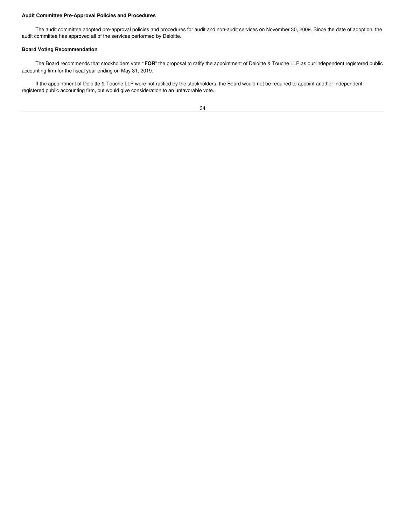# **Audit Committee Pre-Approval Policies and Procedures**

The audit committee adopted pre-approval policies and procedures for audit and non-audit services on November 30, 2009. Since the date of adoption, the audit committee has approved all of the services performed by Deloitte.

# **Board Voting Recommendation**

The Board recommends that stockholders vote " **FOR**" the proposal to ratify the appointment of Deloitte & Touche LLP as our independent registered public accounting firm for the fiscal year ending on May 31, 2019.

If the appointment of Deloitte & Touche LLP were not ratified by the stockholders, the Board would not be required to appoint another independent registered public accounting firm, but would give consideration to an unfavorable vote.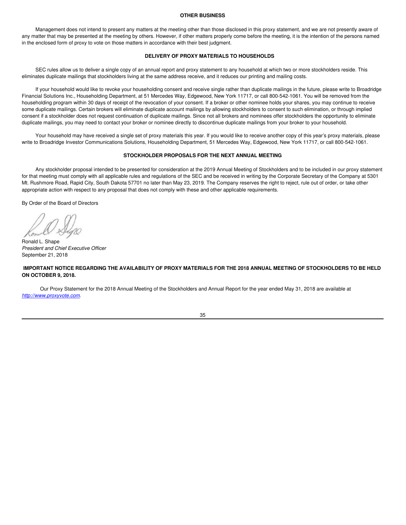#### **OTHER BUSINESS**

Management does not intend to present any matters at the meeting other than those disclosed in this proxy statement, and we are not presently aware of any matter that may be presented at the meeting by others. However, if other matters properly come before the meeting, it is the intention of the persons named in the enclosed form of proxy to vote on those matters in accordance with their best judgment.

#### **DELIVERY OF PROXY MATERIALS TO HOUSEHOLDS**

SEC rules allow us to deliver a single copy of an annual report and proxy statement to any household at which two or more stockholders reside. This eliminates duplicate mailings that stockholders living at the same address receive, and it reduces our printing and mailing costs.

If your household would like to revoke your householding consent and receive single rather than duplicate mailings in the future, please write to Broadridge Financial Solutions Inc., Householding Department, at 51 Mercedes Way, Edgewood, New York 11717, or call 800-542-1061. You will be removed from the householding program within 30 days of receipt of the revocation of your consent. If a broker or other nominee holds your shares, you may continue to receive some duplicate mailings. Certain brokers will eliminate duplicate account mailings by allowing stockholders to consent to such elimination, or through implied consent if a stockholder does not request continuation of duplicate mailings. Since not all brokers and nominees offer stockholders the opportunity to eliminate duplicate mailings, you may need to contact your broker or nominee directly to discontinue duplicate mailings from your broker to your household.

Your household may have received a single set of proxy materials this year. If you would like to receive another copy of this year's proxy materials, please write to Broadridge Investor Communications Solutions, Householding Department, 51 Mercedes Way, Edgewood, New York 11717, or call 800-542-1061.

#### **STOCKHOLDER PROPOSALS FOR THE NEXT ANNUAL MEETING**

Any stockholder proposal intended to be presented for consideration at the 2019 Annual Meeting of Stockholders and to be included in our proxy statement for that meeting must comply with all applicable rules and regulations of the SEC and be received in writing by the Corporate Secretary of the Company at 5301 Mt. Rushmore Road, Rapid City, South Dakota 57701 no later than May 23, 2019. The Company reserves the right to reject, rule out of order, or take other appropriate action with respect to any proposal that does not comply with these and other applicable requirements.

By Order of the Board of Directors

Ronald L. Shape *President and Chief Executive Officer* September 21, 2018

IMPORTANT NOTICE REGARDING THE AVAILABILITY OF PROXY MATERIALS FOR THE 2018 ANNUAL MEETING OF STOCKHOLDERS TO BE HELD **ON OCTOBER 9, 2018.**

Our Proxy Statement for the 2018 Annual Meeting of the Stockholders and Annual Report for the year ended May 31, 2018 are available at *http://www.proxyvote.com*.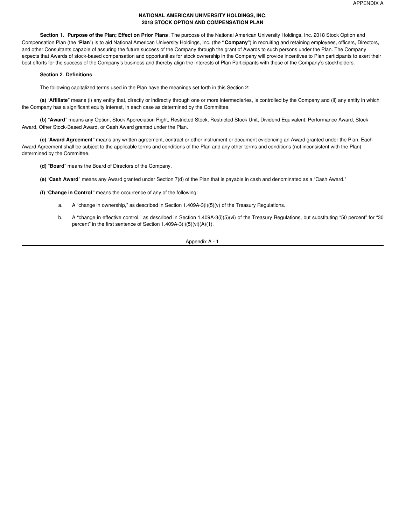# **NATIONAL AMERICAN UNIVERSITY HOLDINGS, INC**. **2018 STOCK OPTION AND COMPENSATION PLAN**

**Section 1**. **Purpose of the Plan; Effect on Prior Plans**. The purpose of the National American University Holdings, Inc. 2018 Stock Option and Compensation Plan (the "**Plan**") is to aid National American University Holdings, Inc. (the " **Company**") in recruiting and retaining employees, officers, Directors, and other Consultants capable of assuring the future success of the Company through the grant of Awards to such persons under the Plan. The Company expects that Awards of stock-based compensation and opportunities for stock ownership in the Company will provide incentives to Plan participants to exert their best efforts for the success of the Company's business and thereby align the interests of Plan Participants with those of the Company's stockholders.

# **Section 2**. **Definitions**

The following capitalized terms used in the Plan have the meanings set forth in this Section 2:

**(a)** "**Affiliate**" means (i) any entity that, directly or indirectly through one or more intermediaries, is controlled by the Company and (ii) any entity in which the Company has a significant equity interest, in each case as determined by the Committee.

**(b)** "**Award**" means any Option, Stock Appreciation Right, Restricted Stock, Restricted Stock Unit, Dividend Equivalent, Performance Award, Stock Award, Other Stock-Based Award, or Cash Award granted under the Plan.

**(c)** "**Award Agreement**" means any written agreement, contract or other instrument or document evidencing an Award granted under the Plan. Each Award Agreement shall be subject to the applicable terms and conditions of the Plan and any other terms and conditions (not inconsistent with the Plan) determined by the Committee.

**(d)** "**Board**" means the Board of Directors of the Company.

**(e)** "**Cash Award**" means any Award granted under Section 7(d) of the Plan that is payable in cash and denominated as a "Cash Award."

**(f)** "**Change in Control**" means the occurrence of any of the following:

- a. A "change in ownership," as described in Section  $1.409A-3(i)(5)(v)$  of the Treasury Regulations.
- b. A "change in effective control," as described in Section 1.409A-3(i)(5)(vi) of the Treasury Regulations, but substituting "50 percent" for "30 percent" in the first sentence of Section 1.409A-3(i)(5)(vi)(A)(1).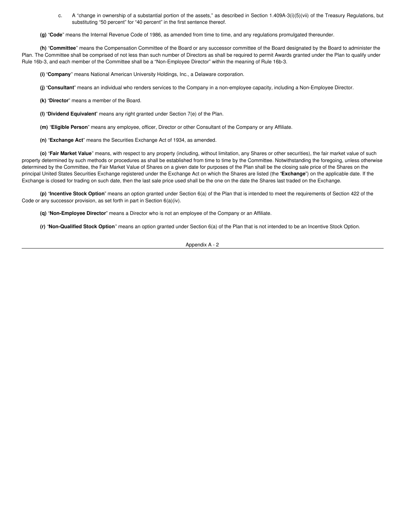- c. A "change in ownership of a substantial portion of the assets," as described in Section 1.409A-3(i)(5)(vii) of the Treasury Regulations, but substituting "50 percent" for "40 percent" in the first sentence thereof.
- **(g)** "**Code**" means the Internal Revenue Code of 1986, as amended from time to time, and any regulations promulgated thereunder.

**(h)** "**Committee**" means the Compensation Committee of the Board or any successor committee of the Board designated by the Board to administer the Plan. The Committee shall be comprised of not less than such number of Directors as shall be required to permit Awards granted under the Plan to qualify under Rule 16b-3, and each member of the Committee shall be a "Non-Employee Director" within the meaning of Rule 16b-3.

**(i)** "**Company**" means National American University Holdings, Inc., a Delaware corporation.

**(j)** "**Consultant**" means an individual who renders services to the Company in a non-employee capacity, including a Non-Employee Director.

- **(k)** "**Director**" means a member of the Board.
- **(l)** "**Dividend Equivalent**" means any right granted under Section 7(e) of the Plan.
- **(m)** "**Eligible Person**" means any employee, officer, Director or other Consultant of the Company or any Affiliate.
- **(n)** "**Exchange Act**" means the Securities Exchange Act of 1934, as amended.

**(o)** "**Fair Market Value**" means, with respect to any property (including, without limitation, any Shares or other securities), the fair market value of such property determined by such methods or procedures as shall be established from time to time by the Committee. Notwithstanding the foregoing, unless otherwise determined by the Committee, the Fair Market Value of Shares on a given date for purposes of the Plan shall be the closing sale price of the Shares on the principal United States Securities Exchange registered under the Exchange Act on which the Shares are listed (the "**Exchange**") on the applicable date. If the Exchange is closed for trading on such date, then the last sale price used shall be the one on the date the Shares last traded on the Exchange.

**(p)** "**Incentive Stock Option**" means an option granted under Section 6(a) of the Plan that is intended to meet the requirements of Section 422 of the Code or any successor provision, as set forth in part in Section 6(a)(iv).

**(q)** "**Non-Employee Director**" means a Director who is not an employee of the Company or an Affiliate.

**(r)** "**Non-Qualified Stock Option**" means an option granted under Section 6(a) of the Plan that is not intended to be an Incentive Stock Option.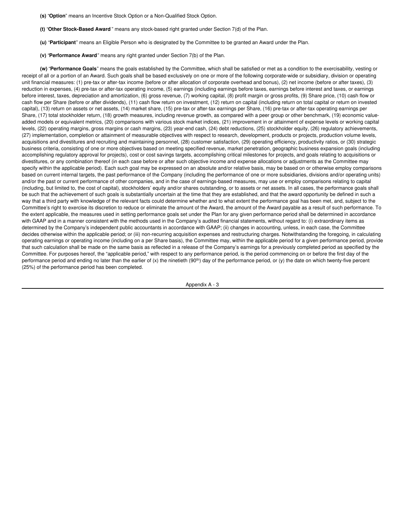- **(s)** "**Option**" means an Incentive Stock Option or a Non-Qualified Stock Option.
- **(t)** "**Other Stock-Based Award** " means any stock-based right granted under Section 7(d) of the Plan.
- **(u)** "**Participant**" means an Eligible Person who is designated by the Committee to be granted an Award under the Plan.
- **(v)** "**Performance Award**" means any right granted under Section 7(b) of the Plan.

**(w)** "**Performance Goals**" means the goals established by the Committee, which shall be satisfied or met as a condition to the exercisability, vesting or receipt of all or a portion of an Award. Such goals shall be based exclusively on one or more of the following corporate-wide or subsidiary, division or operating unit financial measures: (1) pre-tax or after-tax income (before or after allocation of corporate overhead and bonus), (2) net income (before or after taxes), (3) reduction in expenses, (4) pre-tax or after-tax operating income, (5) earnings (including earnings before taxes, earnings before interest and taxes, or earnings before interest, taxes, depreciation and amortization, (6) gross revenue, (7) working capital, (8) profit margin or gross profits, (9) Share price, (10) cash flow or cash flow per Share (before or after dividends), (11) cash flow return on investment, (12) return on capital (including return on total capital or return on invested capital), (13) return on assets or net assets, (14) market share, (15) pre-tax or after-tax earnings per Share, (16) pre-tax or after-tax operating earnings per Share, (17) total stockholder return, (18) growth measures, including revenue growth, as compared with a peer group or other benchmark, (19) economic valueadded models or equivalent metrics, (20) comparisons with various stock market indices, (21) improvement in or attainment of expense levels or working capital levels, (22) operating margins, gross margins or cash margins, (23) year-end cash, (24) debt reductions, (25) stockholder equity, (26) regulatory achievements, (27) implementation, completion or attainment of measurable objectives with respect to research, development, products or projects, production volume levels, acquisitions and divestitures and recruiting and maintaining personnel, (28) customer satisfaction, (29) operating efficiency, productivity ratios, or (30) strategic business criteria, consisting of one or more objectives based on meeting specified revenue, market penetration, geographic business expansion goals (including accomplishing regulatory approval for projects), cost or cost savings targets, accomplishing critical milestones for projects, and goals relating to acquisitions or divestitures, or any combination thereof (in each case before or after such objective income and expense allocations or adjustments as the Committee may specify within the applicable period). Each such goal may be expressed on an absolute and/or relative basis, may be based on or otherwise employ comparisons based on current internal targets, the past performance of the Company (including the performance of one or more subsidiaries, divisions and/or operating units) and/or the past or current performance of other companies, and in the case of earnings-based measures, may use or employ comparisons relating to capital (including, but limited to, the cost of capital), stockholders' equity and/or shares outstanding, or to assets or net assets. In all cases, the performance goals shall be such that the achievement of such goals is substantially uncertain at the time that they are established, and that the award opportunity be defined in such a way that a third party with knowledge of the relevant facts could determine whether and to what extent the performance goal has been met, and, subject to the Committee's right to exercise its discretion to reduce or eliminate the amount of the Award, the amount of the Award payable as a result of such performance. To the extent applicable, the measures used in setting performance goals set under the Plan for any given performance period shall be determined in accordance with GAAP and in a manner consistent with the methods used in the Company's audited financial statements, without regard to: (i) extraordinary items as determined by the Company's independent public accountants in accordance with GAAP; (ii) changes in accounting, unless, in each case, the Committee decides otherwise within the applicable period; or (iii) non-recurring acquisition expenses and restructuring charges. Notwithstanding the foregoing, in calculating operating earnings or operating income (including on a per Share basis), the Committee may, within the applicable period for a given performance period, provide that such calculation shall be made on the same basis as reflected in a release of the Company's earnings for a previously completed period as specified by the Committee. For purposes hereof, the "applicable period," with respect to any performance period, is the period commencing on or before the first day of the performance period and ending no later than the earlier of (x) the ninetieth (90<sup>th</sup>) day of the performance period, or (y) the date on which twenty-five percent (25%) of the performance period has been completed.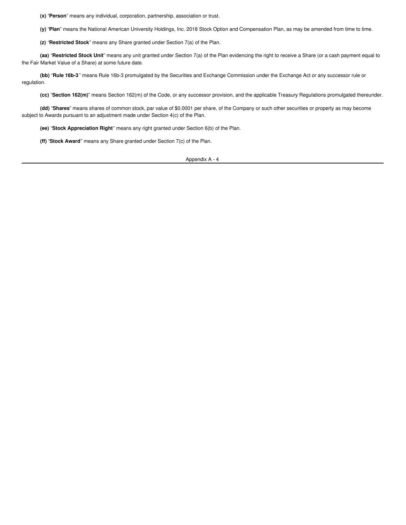**(x)** "**Person**" means any individual, corporation, partnership, association or trust.

**(y)** "**Plan**" means the National American University Holdings, Inc. 2018 Stock Option and Compensation Plan, as may be amended from time to time.

**(z)** "**Restricted Stock**" means any Share granted under Section 7(a) of the Plan.

**(aa)** "**Restricted Stock Unit**" means any unit granted under Section 7(a) of the Plan evidencing the right to receive a Share (or a cash payment equal to the Fair Market Value of a Share) at some future date.

**(bb)** "**Rule 16b-3** " means Rule 16b-3 promulgated by the Securities and Exchange Commission under the Exchange Act or any successor rule or regulation.

**(cc)** "**Section 162(m)**" means Section 162(m) of the Code, or any successor provision, and the applicable Treasury Regulations promulgated thereunder.

**(dd)** "**Shares**" means shares of common stock, par value of \$0.0001 per share, of the Company or such other securities or property as may become subject to Awards pursuant to an adjustment made under Section 4(c) of the Plan.

**(ee)** "**Stock Appreciation Right**" means any right granted under Section 6(b) of the Plan.

**(ff)** "**Stock Award**" means any Share granted under Section 7(c) of the Plan.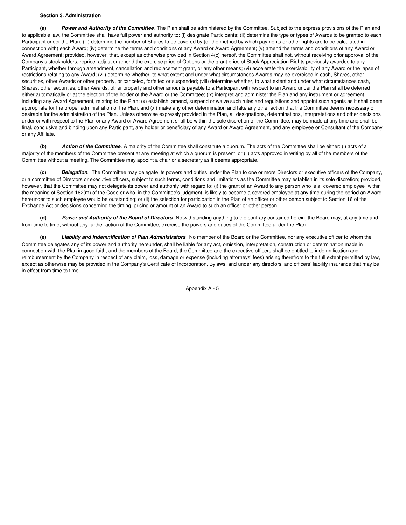### **Section 3. Administration**

**(a)** *Power and Authority of the Committee*. The Plan shall be administered by the Committee. Subject to the express provisions of the Plan and to applicable law, the Committee shall have full power and authority to: (i) designate Participants; (ii) determine the type or types of Awards to be granted to each Participant under the Plan; (iii) determine the number of Shares to be covered by (or the method by which payments or other rights are to be calculated in connection with) each Award; (iv) determine the terms and conditions of any Award or Award Agreement; (v) amend the terms and conditions of any Award or Award Agreement; provided, however, that, except as otherwise provided in Section 4(c) hereof, the Committee shall not, without receiving prior approval of the Company's stockholders, reprice, adjust or amend the exercise price of Options or the grant price of Stock Appreciation Rights previously awarded to any Participant, whether through amendment, cancellation and replacement grant, or any other means; (vi) accelerate the exercisability of any Award or the lapse of restrictions relating to any Award; (vii) determine whether, to what extent and under what circumstances Awards may be exercised in cash, Shares, other securities, other Awards or other property, or canceled, forfeited or suspended; (viii) determine whether, to what extent and under what circumstances cash, Shares, other securities, other Awards, other property and other amounts payable to a Participant with respect to an Award under the Plan shall be deferred either automatically or at the election of the holder of the Award or the Committee; (ix) interpret and administer the Plan and any instrument or agreement, including any Award Agreement, relating to the Plan; (x) establish, amend, suspend or waive such rules and regulations and appoint such agents as it shall deem appropriate for the proper administration of the Plan; and (xi) make any other determination and take any other action that the Committee deems necessary or desirable for the administration of the Plan. Unless otherwise expressly provided in the Plan, all designations, determinations, interpretations and other decisions under or with respect to the Plan or any Award or Award Agreement shall be within the sole discretion of the Committee, may be made at any time and shall be final, conclusive and binding upon any Participant, any holder or beneficiary of any Award or Award Agreement, and any employee or Consultant of the Company or any Affiliate.

**(b)** *Action of the Committee*. A majority of the Committee shall constitute a quorum. The acts of the Committee shall be either: (i) acts of a majority of the members of the Committee present at any meeting at which a quorum is present; or (ii) acts approved in writing by all of the members of the Committee without a meeting. The Committee may appoint a chair or a secretary as it deems appropriate.

**(c)** *Delegation*. The Committee may delegate its powers and duties under the Plan to one or more Directors or executive officers of the Company, or a committee of Directors or executive officers, subject to such terms, conditions and limitations as the Committee may establish in its sole discretion; provided, however, that the Committee may not delegate its power and authority with regard to: (i) the grant of an Award to any person who is a "covered employee" within the meaning of Section 162(m) of the Code or who, in the Committee's judgment, is likely to become a covered employee at any time during the period an Award hereunder to such employee would be outstanding; or (ii) the selection for participation in the Plan of an officer or other person subject to Section 16 of the Exchange Act or decisions concerning the timing, pricing or amount of an Award to such an officer or other person.

**(d)** *Power and Authority of the Board of Directors*. Notwithstanding anything to the contrary contained herein, the Board may, at any time and from time to time, without any further action of the Committee, exercise the powers and duties of the Committee under the Plan.

**(e)** *Liability and Indemnification of Plan Administrators* . No member of the Board or the Committee, nor any executive officer to whom the Committee delegates any of its power and authority hereunder, shall be liable for any act, omission, interpretation, construction or determination made in connection with the Plan in good faith, and the members of the Board, the Committee and the executive officers shall be entitled to indemnification and reimbursement by the Company in respect of any claim, loss, damage or expense (including attorneys' fees) arising therefrom to the full extent permitted by law, except as otherwise may be provided in the Company's Certificate of Incorporation, Bylaws, and under any directors' and officers' liability insurance that may be in effect from time to time.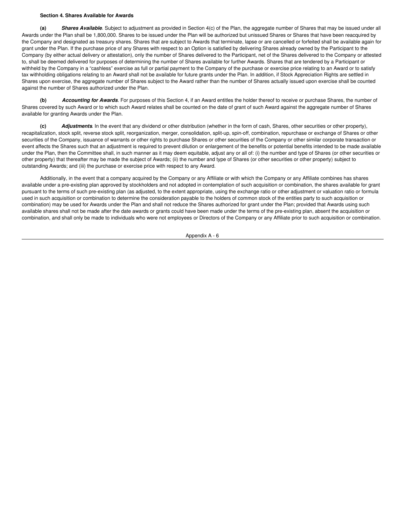# **Section 4. Shares Available for Awards**

**(a)** *Shares Available*. Subject to adjustment as provided in Section 4(c) of the Plan, the aggregate number of Shares that may be issued under all Awards under the Plan shall be 1,800,000. Shares to be issued under the Plan will be authorized but unissued Shares or Shares that have been reacquired by the Company and designated as treasury shares. Shares that are subject to Awards that terminate, lapse or are cancelled or forfeited shall be available again for grant under the Plan. If the purchase price of any Shares with respect to an Option is satisfied by delivering Shares already owned by the Participant to the Company (by either actual delivery or attestation), only the number of Shares delivered to the Participant, net of the Shares delivered to the Company or attested to, shall be deemed delivered for purposes of determining the number of Shares available for further Awards. Shares that are tendered by a Participant or withheld by the Company in a "cashless" exercise as full or partial payment to the Company of the purchase or exercise price relating to an Award or to satisfy tax withholding obligations relating to an Award shall not be available for future grants under the Plan. In addition, if Stock Appreciation Rights are settled in Shares upon exercise, the aggregate number of Shares subject to the Award rather than the number of Shares actually issued upon exercise shall be counted against the number of Shares authorized under the Plan.

**(b)** *Accounting for Awards*. For purposes of this Section 4, if an Award entitles the holder thereof to receive or purchase Shares, the number of Shares covered by such Award or to which such Award relates shall be counted on the date of grant of such Award against the aggregate number of Shares available for granting Awards under the Plan.

**(c)** *Adjustments*. In the event that any dividend or other distribution (whether in the form of cash, Shares, other securities or other property), recapitalization, stock split, reverse stock split, reorganization, merger, consolidation, split-up, spin-off, combination, repurchase or exchange of Shares or other securities of the Company, issuance of warrants or other rights to purchase Shares or other securities of the Company or other similar corporate transaction or event affects the Shares such that an adjustment is required to prevent dilution or enlargement of the benefits or potential benefits intended to be made available under the Plan, then the Committee shall, in such manner as it may deem equitable, adjust any or all of: (i) the number and type of Shares (or other securities or other property) that thereafter may be made the subject of Awards; (ii) the number and type of Shares (or other securities or other property) subject to outstanding Awards; and (iii) the purchase or exercise price with respect to any Award.

Additionally, in the event that a company acquired by the Company or any Affiliate or with which the Company or any Affiliate combines has shares available under a pre-existing plan approved by stockholders and not adopted in contemplation of such acquisition or combination, the shares available for grant pursuant to the terms of such pre-existing plan (as adjusted, to the extent appropriate, using the exchange ratio or other adjustment or valuation ratio or formula used in such acquisition or combination to determine the consideration payable to the holders of common stock of the entities party to such acquisition or combination) may be used for Awards under the Plan and shall not reduce the Shares authorized for grant under the Plan; provided that Awards using such available shares shall not be made after the date awards or grants could have been made under the terms of the pre-existing plan, absent the acquisition or combination, and shall only be made to individuals who were not employees or Directors of the Company or any Affiliate prior to such acquisition or combination.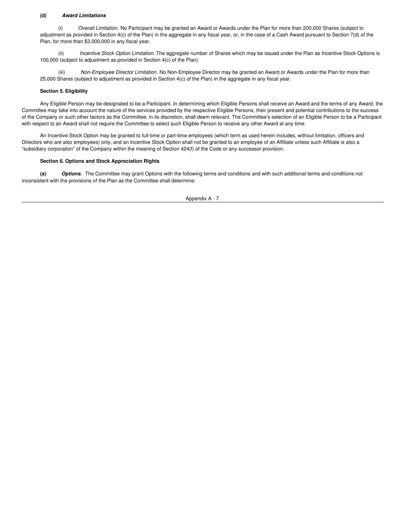# **(d)** *Award Limitations*

(i) *Overall Limitation*. No Participant may be granted an Award or Awards under the Plan for more than 200,000 Shares (subject to adjustment as provided in Section 4(c) of the Plan) in the aggregate in any fiscal year, or, in the case of a Cash Award pursuant to Section 7(d) of the Plan, for more than \$3,000,000 in any fiscal year.

(ii) *Incentive Stock Option Limitation.* The aggregate number of Shares which may be issued under the Plan as Incentive Stock Options is 100,000 (subject to adjustment as provided in Section 4(c) of the Plan).

(iii) *Non-Employee Director Limitation*. No Non-Employee Director may be granted an Award or Awards under the Plan for more than 25,000 Shares (subject to adjustment as provided in Section 4(c) of the Plan) in the aggregate in any fiscal year.

# **Section 5. Eligibility**

Any Eligible Person may be designated to be a Participant. In determining which Eligible Persons shall receive an Award and the terms of any Award, the Committee may take into account the nature of the services provided by the respective Eligible Persons, their present and potential contributions to the success of the Company or such other factors as the Committee, in its discretion, shall deem relevant. The Committee's selection of an Eligible Person to be a Participant with respect to an Award shall not require the Committee to select such Eligible Person to receive any other Award at any time.

An Incentive Stock Option may be granted to full-time or part-time employees (which term as used herein includes, without limitation, officers and Directors who are also employees) only, and an Incentive Stock Option shall not be granted to an employee of an Affiliate unless such Affiliate is also a "subsidiary corporation" of the Company within the meaning of Section 424(f) of the Code or any successor provision.

#### **Section 6. Options and Stock Appreciation Rights**

**(a)** *Options*. The Committee may grant Options with the following terms and conditions and with such additional terms and conditions not inconsistent with the provisions of the Plan as the Committee shall determine: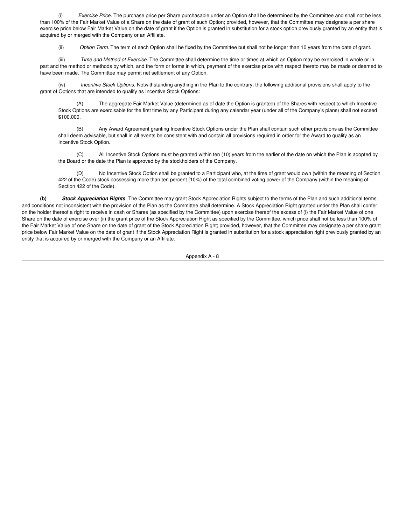(i) *Exercise Price*. The purchase price per Share purchasable under an Option shall be determined by the Committee and shall not be less than 100% of the Fair Market Value of a Share on the date of grant of such Option; provided, however, that the Committee may designate a per share exercise price below Fair Market Value on the date of grant if the Option is granted in substitution for a stock option previously granted by an entity that is acquired by or merged with the Company or an Affiliate.

(ii) *Option Term*. The term of each Option shall be fixed by the Committee but shall not be longer than 10 years from the date of grant.

(iii) *Time and Method of Exercise*. The Committee shall determine the time or times at which an Option may be exercised in whole or in part and the method or methods by which, and the form or forms in which, payment of the exercise price with respect thereto may be made or deemed to have been made. The Committee may permit net settlement of any Option.

(iv) *Incentive Stock Options.* Notwithstanding anything in the Plan to the contrary, the following additional provisions shall apply to the grant of Options that are intended to qualify as Incentive Stock Options:

(A) The aggregate Fair Market Value (determined as of date the Option is granted) of the Shares with respect to which Incentive Stock Options are exercisable for the first time by any Participant during any calendar year (under all of the Company's plans) shall not exceed \$100,000.

(B) Any Award Agreement granting Incentive Stock Options under the Plan shall contain such other provisions as the Committee shall deem advisable, but shall in all events be consistent with and contain all provisions required in order for the Award to qualify as an Incentive Stock Option.

(C) All Incentive Stock Options must be granted within ten (10) years from the earlier of the date on which the Plan is adopted by the Board or the date the Plan is approved by the stockholders of the Company.

(D) No Incentive Stock Option shall be granted to a Participant who, at the time of grant would own (within the meaning of Section 422 of the Code) stock possessing more than ten percent (10%) of the total combined voting power of the Company (within the meaning of Section 422 of the Code).

**(b)** *Stock Appreciation Rights*. The Committee may grant Stock Appreciation Rights subject to the terms of the Plan and such additional terms and conditions not inconsistent with the provision of the Plan as the Committee shall determine. A Stock Appreciation Right granted under the Plan shall confer on the holder thereof a right to receive in cash or Shares (as specified by the Committee) upon exercise thereof the excess of (i) the Fair Market Value of one Share on the date of exercise over (ii) the grant price of the Stock Appreciation Right as specified by the Committee, which price shall not be less than 100% of the Fair Market Value of one Share on the date of grant of the Stock Appreciation Right; provided, however, that the Committee may designate a per share grant price below Fair Market Value on the date of grant if the Stock Appreciation Right is granted in substitution for a stock appreciation right previously granted by an entity that is acquired by or merged with the Company or an Affiliate.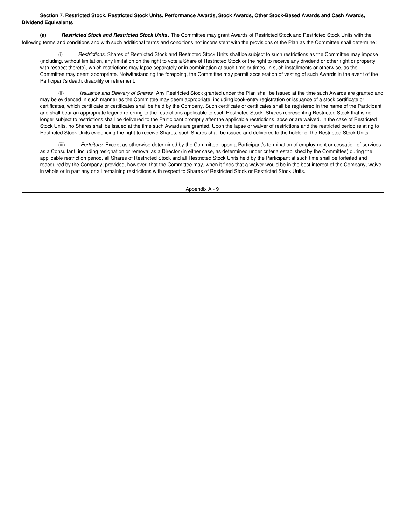# Section 7. Restricted Stock, Restricted Stock Units, Performance Awards, Stock Awards, Other Stock-Based Awards and Cash Awards, **Dividend Equivalents**

**(a)** *Restricted Stock and Restricted Stock Units* . The Committee may grant Awards of Restricted Stock and Restricted Stock Units with the following terms and conditions and with such additional terms and conditions not inconsistent with the provisions of the Plan as the Committee shall determine:

Restrictions. Shares of Restricted Stock and Restricted Stock Units shall be subject to such restrictions as the Committee may impose (including, without limitation, any limitation on the right to vote a Share of Restricted Stock or the right to receive any dividend or other right or property with respect thereto), which restrictions may lapse separately or in combination at such time or times, in such installments or otherwise, as the Committee may deem appropriate. Notwithstanding the foregoing, the Committee may permit acceleration of vesting of such Awards in the event of the Participant's death, disability or retirement.

(ii) *Issuance and Delivery of Shares* . Any Restricted Stock granted under the Plan shall be issued at the time such Awards are granted and may be evidenced in such manner as the Committee may deem appropriate, including book-entry registration or issuance of a stock certificate or certificates, which certificate or certificates shall be held by the Company. Such certificate or certificates shall be registered in the name of the Participant and shall bear an appropriate legend referring to the restrictions applicable to such Restricted Stock. Shares representing Restricted Stock that is no longer subject to restrictions shall be delivered to the Participant promptly after the applicable restrictions lapse or are waived. In the case of Restricted Stock Units, no Shares shall be issued at the time such Awards are granted. Upon the lapse or waiver of restrictions and the restricted period relating to Restricted Stock Units evidencing the right to receive Shares, such Shares shall be issued and delivered to the holder of the Restricted Stock Units.

(iii) *Forfeiture*. Except as otherwise determined by the Committee, upon a Participant's termination of employment or cessation of services as a Consultant, including resignation or removal as a Director (in either case, as determined under criteria established by the Committee) during the applicable restriction period, all Shares of Restricted Stock and all Restricted Stock Units held by the Participant at such time shall be forfeited and reacquired by the Company; provided, however, that the Committee may, when it finds that a waiver would be in the best interest of the Company, waive in whole or in part any or all remaining restrictions with respect to Shares of Restricted Stock or Restricted Stock Units.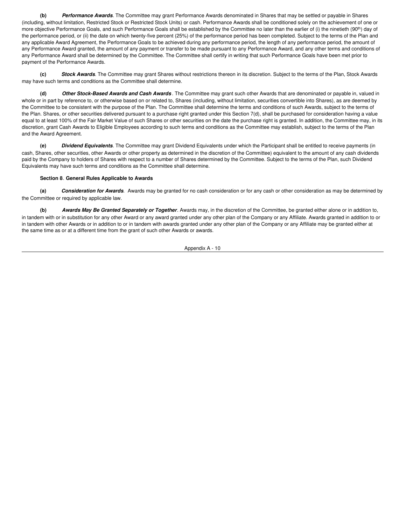**(b)** *Performance Awards*. The Committee may grant Performance Awards denominated in Shares that may be settled or payable in Shares (including, without limitation, Restricted Stock or Restricted Stock Units) or cash. Performance Awards shall be conditioned solely on the achievement of one or more objective Performance Goals, and such Performance Goals shall be established by the Committee no later than the earlier of (i) the ninetieth (90<sup>th</sup>) day of the performance period, or (ii) the date on which twenty-five percent (25%) of the performance period has been completed. Subject to the terms of the Plan and any applicable Award Agreement, the Performance Goals to be achieved during any performance period, the length of any performance period, the amount of any Performance Award granted, the amount of any payment or transfer to be made pursuant to any Performance Award, and any other terms and conditions of any Performance Award shall be determined by the Committee. The Committee shall certify in writing that such Performance Goals have been met prior to payment of the Performance Awards.

**(c)** *Stock Awards*. The Committee may grant Shares without restrictions thereon in its discretion. Subject to the terms of the Plan, Stock Awards may have such terms and conditions as the Committee shall determine.

**(d)** *Other Stock-Based Awards and Cash Awards* . The Committee may grant such other Awards that are denominated or payable in, valued in whole or in part by reference to, or otherwise based on or related to, Shares (including, without limitation, securities convertible into Shares), as are deemed by the Committee to be consistent with the purpose of the Plan. The Committee shall determine the terms and conditions of such Awards, subject to the terms of the Plan. Shares, or other securities delivered pursuant to a purchase right granted under this Section 7(d), shall be purchased for consideration having a value equal to at least 100% of the Fair Market Value of such Shares or other securities on the date the purchase right is granted. In addition, the Committee may, in its discretion, grant Cash Awards to Eligible Employees according to such terms and conditions as the Committee may establish, subject to the terms of the Plan and the Award Agreement.

**(e)** *Dividend Equivalents*. The Committee may grant Dividend Equivalents under which the Participant shall be entitled to receive payments (in cash, Shares, other securities, other Awards or other property as determined in the discretion of the Committee) equivalent to the amount of any cash dividends paid by the Company to holders of Shares with respect to a number of Shares determined by the Committee. Subject to the terms of the Plan, such Dividend Equivalents may have such terms and conditions as the Committee shall determine.

# **Section 8**. **General Rules Applicable to Awards**

**(a)** *Consideration for Awards*. Awards may be granted for no cash consideration or for any cash or other consideration as may be determined by the Committee or required by applicable law.

**(b)** *Awards May Be Granted Separately or Together*. Awards may, in the discretion of the Committee, be granted either alone or in addition to, in tandem with or in substitution for any other Award or any award granted under any other plan of the Company or any Affiliate. Awards granted in addition to or in tandem with other Awards or in addition to or in tandem with awards granted under any other plan of the Company or any Affiliate may be granted either at the same time as or at a different time from the grant of such other Awards or awards.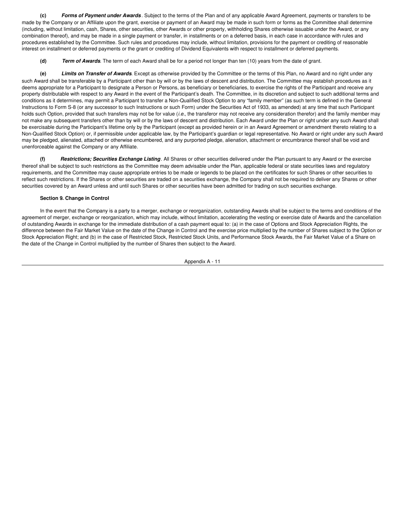**(c)** *Forms of Payment under Awards* . Subject to the terms of the Plan and of any applicable Award Agreement, payments or transfers to be made by the Company or an Affiliate upon the grant, exercise or payment of an Award may be made in such form or forms as the Committee shall determine (including, without limitation, cash, Shares, other securities, other Awards or other property, withholding Shares otherwise issuable under the Award, or any combination thereof), and may be made in a single payment or transfer, in installments or on a deferred basis, in each case in accordance with rules and procedures established by the Committee. Such rules and procedures may include, without limitation, provisions for the payment or crediting of reasonable interest on installment or deferred payments or the grant or crediting of Dividend Equivalents with respect to installment or deferred payments.

**(d)** *Term of Awards*. The term of each Award shall be for a period not longer than ten (10) years from the date of grant.

**(e)** *Limits on Transfer of Awards*. Except as otherwise provided by the Committee or the terms of this Plan, no Award and no right under any such Award shall be transferable by a Participant other than by will or by the laws of descent and distribution. The Committee may establish procedures as it deems appropriate for a Participant to designate a Person or Persons, as beneficiary or beneficiaries, to exercise the rights of the Participant and receive any property distributable with respect to any Award in the event of the Participant's death. The Committee, in its discretion and subject to such additional terms and conditions as it determines, may permit a Participant to transfer a Non-Qualified Stock Option to any "family member" (as such term is defined in the General Instructions to Form S-8 (or any successor to such Instructions or such Form) under the Securities Act of 1933, as amended) at any time that such Participant holds such Option, provided that such transfers may not be for value (*i.e.*, the transferor may not receive any consideration therefor) and the family member may not make any subsequent transfers other than by will or by the laws of descent and distribution. Each Award under the Plan or right under any such Award shall be exercisable during the Participant's lifetime only by the Participant (except as provided herein or in an Award Agreement or amendment thereto relating to a Non-Qualified Stock Option) or, if permissible under applicable law, by the Participant's guardian or legal representative. No Award or right under any such Award may be pledged, alienated, attached or otherwise encumbered, and any purported pledge, alienation, attachment or encumbrance thereof shall be void and unenforceable against the Company or any Affiliate.

**(f)** *Restrictions; Securities Exchange Listing*. All Shares or other securities delivered under the Plan pursuant to any Award or the exercise thereof shall be subject to such restrictions as the Committee may deem advisable under the Plan, applicable federal or state securities laws and regulatory requirements, and the Committee may cause appropriate entries to be made or legends to be placed on the certificates for such Shares or other securities to reflect such restrictions. If the Shares or other securities are traded on a securities exchange, the Company shall not be required to deliver any Shares or other securities covered by an Award unless and until such Shares or other securities have been admitted for trading on such securities exchange.

# **Section 9. Change in Control**

In the event that the Company is a party to a merger, exchange or reorganization, outstanding Awards shall be subject to the terms and conditions of the agreement of merger, exchange or reorganization, which may include, without limitation, accelerating the vesting or exercise date of Awards and the cancellation of outstanding Awards in exchange for the immediate distribution of a cash payment equal to: (a) in the case of Options and Stock Appreciation Rights, the difference between the Fair Market Value on the date of the Change in Control and the exercise price multiplied by the number of Shares subject to the Option or Stock Appreciation Right; and (b) in the case of Restricted Stock, Restricted Stock Units, and Performance Stock Awards, the Fair Market Value of a Share on the date of the Change in Control multiplied by the number of Shares then subject to the Award.

Appendix A - 11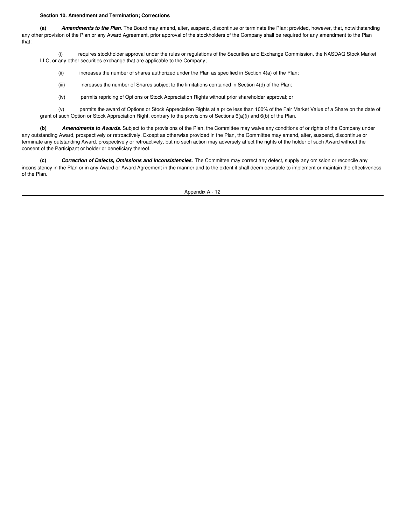#### **Section 10. Amendment and Termination; Corrections**

**(a)** *Amendments to the Plan*. The Board may amend, alter, suspend, discontinue or terminate the Plan; provided, however, that, notwithstanding any other provision of the Plan or any Award Agreement, prior approval of the stockholders of the Company shall be required for any amendment to the Plan that:

(i) requires stockholder approval under the rules or regulations of the Securities and Exchange Commission, the NASDAQ Stock Market LLC, or any other securities exchange that are applicable to the Company;

- (ii) increases the number of shares authorized under the Plan as specified in Section  $4(a)$  of the Plan;
- (iii) increases the number of Shares subject to the limitations contained in Section  $4(d)$  of the Plan;
- (iv) permits repricing of Options or Stock Appreciation Rights without prior shareholder approval; or

(v) permits the award of Options or Stock Appreciation Rights at a price less than 100% of the Fair Market Value of a Share on the date of grant of such Option or Stock Appreciation Right, contrary to the provisions of Sections 6(a)(i) and 6(b) of the Plan.

**(b)** *Amendments to Awards*. Subject to the provisions of the Plan, the Committee may waive any conditions of or rights of the Company under any outstanding Award, prospectively or retroactively. Except as otherwise provided in the Plan, the Committee may amend, alter, suspend, discontinue or terminate any outstanding Award, prospectively or retroactively, but no such action may adversely affect the rights of the holder of such Award without the consent of the Participant or holder or beneficiary thereof.

**(c)** *Correction of Defects, Omissions and Inconsistencies*. The Committee may correct any defect, supply any omission or reconcile any inconsistency in the Plan or in any Award or Award Agreement in the manner and to the extent it shall deem desirable to implement or maintain the effectiveness of the Plan.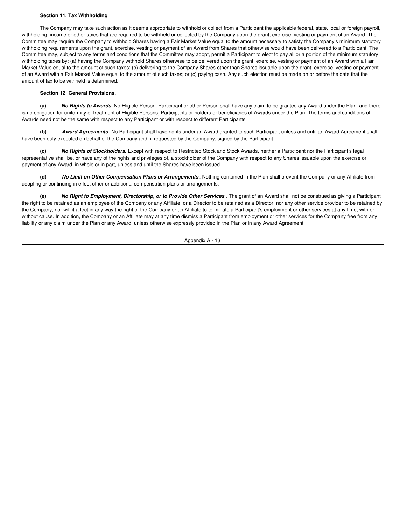### **Section 11. Tax Withholding**

The Company may take such action as it deems appropriate to withhold or collect from a Participant the applicable federal, state, local or foreign payroll, withholding, income or other taxes that are required to be withheld or collected by the Company upon the grant, exercise, vesting or payment of an Award. The Committee may require the Company to withhold Shares having a Fair Market Value equal to the amount necessary to satisfy the Company's minimum statutory withholding requirements upon the grant, exercise, vesting or payment of an Award from Shares that otherwise would have been delivered to a Participant. The Committee may, subject to any terms and conditions that the Committee may adopt, permit a Participant to elect to pay all or a portion of the minimum statutory withholding taxes by: (a) having the Company withhold Shares otherwise to be delivered upon the grant, exercise, vesting or payment of an Award with a Fair Market Value equal to the amount of such taxes; (b) delivering to the Company Shares other than Shares issuable upon the grant, exercise, vesting or payment of an Award with a Fair Market Value equal to the amount of such taxes; or (c) paying cash. Any such election must be made on or before the date that the amount of tax to be withheld is determined.

# **Section 12**. **General Provisions**.

**(a)** *No Rights to Awards*. No Eligible Person, Participant or other Person shall have any claim to be granted any Award under the Plan, and there is no obligation for uniformity of treatment of Eligible Persons, Participants or holders or beneficiaries of Awards under the Plan. The terms and conditions of Awards need not be the same with respect to any Participant or with respect to different Participants.

**(b)** *Award Agreements*. No Participant shall have rights under an Award granted to such Participant unless and until an Award Agreement shall have been duly executed on behalf of the Company and, if requested by the Company, signed by the Participant.

**(c)** *No Rights of Stockholders*. Except with respect to Restricted Stock and Stock Awards, neither a Participant nor the Participant's legal representative shall be, or have any of the rights and privileges of, a stockholder of the Company with respect to any Shares issuable upon the exercise or payment of any Award, in whole or in part, unless and until the Shares have been issued.

**(d)** *No Limit on Other Compensation Plans or Arrangements* . Nothing contained in the Plan shall prevent the Company or any Affiliate from adopting or continuing in effect other or additional compensation plans or arrangements.

**(e)** *No Right to Employment, Directorship, or to Provide Other Services* . The grant of an Award shall not be construed as giving a Participant the right to be retained as an employee of the Company or any Affiliate, or a Director to be retained as a Director, nor any other service provider to be retained by the Company, nor will it affect in any way the right of the Company or an Affiliate to terminate a Participant's employment or other services at any time, with or without cause. In addition, the Company or an Affiliate may at any time dismiss a Participant from employment or other services for the Company free from any liability or any claim under the Plan or any Award, unless otherwise expressly provided in the Plan or in any Award Agreement.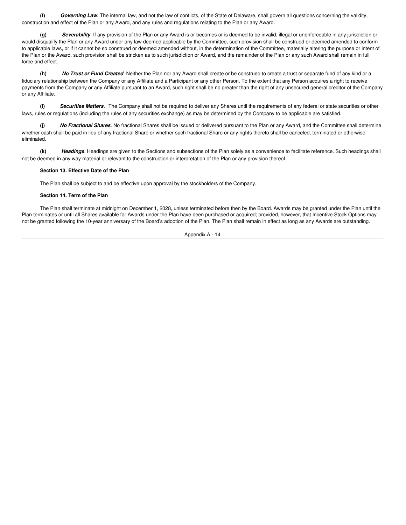**(f)** *Governing Law*. The internal law, and not the law of conflicts, of the State of Delaware, shall govern all questions concerning the validity, construction and effect of the Plan or any Award, and any rules and regulations relating to the Plan or any Award.

**(g)** *Severability*. If any provision of the Plan or any Award is or becomes or is deemed to be invalid, illegal or unenforceable in any jurisdiction or would disqualify the Plan or any Award under any law deemed applicable by the Committee, such provision shall be construed or deemed amended to conform to applicable laws, or if it cannot be so construed or deemed amended without, in the determination of the Committee, materially altering the purpose or intent of the Plan or the Award, such provision shall be stricken as to such jurisdiction or Award, and the remainder of the Plan or any such Award shall remain in full force and effect.

**(h)** *No Trust or Fund Created.* Neither the Plan nor any Award shall create or be construed to create a trust or separate fund of any kind or a fiduciary relationship between the Company or any Affiliate and a Participant or any other Person. To the extent that any Person acquires a right to receive payments from the Company or any Affiliate pursuant to an Award, such right shall be no greater than the right of any unsecured general creditor of the Company or any Affiliate.

**(i)** *Securities Matters*. The Company shall not be required to deliver any Shares until the requirements of any federal or state securities or other laws, rules or regulations (including the rules of any securities exchange) as may be determined by the Company to be applicable are satisfied.

**(j)** *No Fractional Shares*. No fractional Shares shall be issued or delivered pursuant to the Plan or any Award, and the Committee shall determine whether cash shall be paid in lieu of any fractional Share or whether such fractional Share or any rights thereto shall be canceled, terminated or otherwise eliminated.

**(k)** *Headings*. Headings are given to the Sections and subsections of the Plan solely as a convenience to facilitate reference. Such headings shall not be deemed in any way material or relevant to the construction or interpretation of the Plan or any provision thereof.

# **Section 13. Effective Date of the Plan**

The Plan shall be subject to and be effective upon approval by the stockholders of the Company.

# **Section 14. Term of the Plan**

The Plan shall terminate at midnight on December 1, 2028, unless terminated before then by the Board. Awards may be granted under the Plan until the Plan terminates or until all Shares available for Awards under the Plan have been purchased or acquired; provided, however, that Incentive Stock Options may not be granted following the 10-year anniversary of the Board's adoption of the Plan. The Plan shall remain in effect as long as any Awards are outstanding.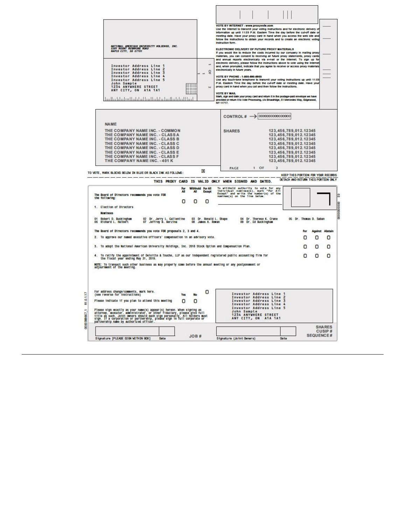| electronic delivery, please follow the instructions above to vote using the internet<br>Investor Address Line 1<br>and, when prompted, indicate that you agree to receive or access proxy materials<br>Investor Address Line<br>$\overline{2}$<br>electronically in future years.<br>õ<br>Investor Address Line<br>$\overline{3}$<br>$\rightarrow$<br>Investor Address Line<br>4<br>VOTE BY PHONE - 1-800-890-8903<br>Use any touch-tone telephone to transmit your voting instructions up until 11:59<br>Investor Address Line 5<br>P.M. Eastern Time the day before the cut-off date or meeting date. Have you<br>John Sample<br>1234 ANYWHERE STREET<br>proxy card in hand when you call and then follow the instructions.<br>b3<br>ĦĦ<br>ANY CITY, ON A1A 1A1<br><b>VOTE BY MAIL</b><br>Mark, sign and date your proxy card and return it in the postage-paid envelope we have<br>հականերիաների վանկաների հականերին կ<br>provided or return it to Vote Processing, c/o Broadridge, 51 Mercedes Way, Edgewood,<br>NY 11717.<br><b>NAME</b><br>THE COMPANY NAME INC. - COMMON<br>123,456,789,012.12345<br><b>SHARES</b><br>THE COMPANY NAME INC. - CLASSA<br>123,456,789,012.12345<br>THE COMPANY NAME INC. - CLASS B<br>123, 456, 789, 012. 12345<br>THE COMPANY NAME INC. - CLASS C<br>123,456,789,012.12345<br>THE COMPANY NAME INC. - CLASS D<br>123,456,789,012.12345<br>THE COMPANY NAME INC. - CLASS E<br>123,456,789,012.12345<br>THE COMPANY NAME INC. - CLASS F<br>123,456,789,012.12345<br>THE COMPANY NAME INC. - 401 K<br>123, 456, 789, 012. 12345<br>$1$ OF<br>$\overline{2}$<br><b>PAGE</b><br>×<br>THIS PROXY CARD IS VALID ONLY WHEN SIGNED AND DATED.<br>Withhold For All<br>To withhold authority to vote for any<br>individual nominee(s), mark "For All<br>Except" and write the number(s) of the<br>nominee(s) on the line below.<br>For<br><b>All</b><br>Except<br>The Board of Directors recommends you vote FOR<br>the following:<br>0<br>о<br>O<br><b>Nontnees</b><br>02 Dr. Jerry L. Gallentine<br>07 Jeffrey B. Berzina<br>Robert D. Buckingham<br>Richard L. Halbert<br>03 Dr. Roma1d L. Shape<br>08 James A. Rowan<br>04 Dr. Therese K. Crane<br>09 Dr. Ed Buckingham<br>05 Dr. Thomas D. Saban<br>01<br>06<br>For<br>o<br>о<br>O<br>0<br>To ratify the appointment of Deloitte & Touche, LLP as our independent registered public accounting firm for<br>4.<br>o<br>о<br>the fiscal year ending May 31, 2019.<br>For address change/comments, mark here.<br>(see reverse for instructions)<br>о<br>Investor Address Line<br><b>Yes</b><br>No.<br>Investor Address Line<br>Investor Address Line<br>$\overline{3}$<br>Please indicate if you plan to attend this meeting<br>n<br>Ω<br>Investor Address Line<br>Investor Address Line 5<br>John Sample<br>1234 ANYWHERE STREET<br>ANY CITY, ON A1A 1A1 | JOB #                                                                                                           | RAPID CITY, SD 57701 | NATIONAL AMERICAN UNIVERSITY HOLDINGS, INC.<br>5301 MOUNT RUSHMORE ROAD | VOTE BY INTERNET - www.proxyvote.com<br>Use the Internet to transmit your voting instructions and for electronic delivery of<br>information up until 11:59 P.M. Eastern Time the day before the cut-off date or<br>meeting date. Have your proxy card in hand when you access the web site and<br>follow the instructions to obtain your records and to create an electronic voting<br><b>Instruction form.</b><br>ELECTRONIC DELIVERY OF FUTURE PROXY MATERIALS<br>If you would like to reduce the costs incurred by our company in mailing proxy<br>materials, you can consent to receiving all future proxy statements, proxy card<br>and annual reports electronically via e-mail or the internet. To sign up to |  |
|----------------------------------------------------------------------------------------------------------------------------------------------------------------------------------------------------------------------------------------------------------------------------------------------------------------------------------------------------------------------------------------------------------------------------------------------------------------------------------------------------------------------------------------------------------------------------------------------------------------------------------------------------------------------------------------------------------------------------------------------------------------------------------------------------------------------------------------------------------------------------------------------------------------------------------------------------------------------------------------------------------------------------------------------------------------------------------------------------------------------------------------------------------------------------------------------------------------------------------------------------------------------------------------------------------------------------------------------------------------------------------------------------------------------------------------------------------------------------------------------------------------------------------------------------------------------------------------------------------------------------------------------------------------------------------------------------------------------------------------------------------------------------------------------------------------------------------------------------------------------------------------------------------------------------------------------------------------------------------------------------------------------------------------------------------------------------------------------------------------------------------------------------------------------------------------------------------------------------------------------------------------------------------------------------------------------------------------------------------------------------------------------------------------------------------------------------------------------------------------------------------------------------------------------------------------------------------------------------------------------------------------------------------------------------------------------------------------------------------------------------------------------------------------------------------------------------------------|-----------------------------------------------------------------------------------------------------------------|----------------------|-------------------------------------------------------------------------|----------------------------------------------------------------------------------------------------------------------------------------------------------------------------------------------------------------------------------------------------------------------------------------------------------------------------------------------------------------------------------------------------------------------------------------------------------------------------------------------------------------------------------------------------------------------------------------------------------------------------------------------------------------------------------------------------------------------|--|
| 1. Election of Directors<br>The Board of Directors recommends you vote FOR proposals 2, 3 and 4.<br>3. To adopt the National American University Holdings, Inc. 2018 Stock Option and Compensation Plan.<br>NOTE: To transact such other business as may properly come before the annual meeting or any postponement or<br>adjournment of the meeting.                                                                                                                                                                                                                                                                                                                                                                                                                                                                                                                                                                                                                                                                                                                                                                                                                                                                                                                                                                                                                                                                                                                                                                                                                                                                                                                                                                                                                                                                                                                                                                                                                                                                                                                                                                                                                                                                                                                                                                                                                                                                                                                                                                                                                                                                                                                                                                                                                                                                                 |                                                                                                                 |                      |                                                                         |                                                                                                                                                                                                                                                                                                                                                                                                                                                                                                                                                                                                                                                                                                                      |  |
| TO VOTE, MARK BLOCKS BELOW IN BLUE OR BLACK INK AS FOLLOWS:<br>2. To approve our named executive officers' compensation in an advisory vote.<br>Please sign exactly as your name(s) appear(s) hereon. When signing as<br>attorney, executor, administrator, or other fiduciary, please give full<br>title as such. Joint comers should each sign personally. All holders must<br>sign.                                                                                                                                                                                                                                                                                                                                                                                                                                                                                                                                                                                                                                                                                                                                                                                                                                                                                                                                                                                                                                                                                                                                                                                                                                                                                                                                                                                                                                                                                                                                                                                                                                                                                                                                                                                                                                                                                                                                                                                                                                                                                                                                                                                                                                                                                                                                                                                                                                                 | <b>KEEP THIS PORTION FOR YOUR RECORDS</b><br>DETACH AND RETURN THIS PORTION ONLY<br><b>Against Abstain</b><br>0 |                      |                                                                         |                                                                                                                                                                                                                                                                                                                                                                                                                                                                                                                                                                                                                                                                                                                      |  |
|                                                                                                                                                                                                                                                                                                                                                                                                                                                                                                                                                                                                                                                                                                                                                                                                                                                                                                                                                                                                                                                                                                                                                                                                                                                                                                                                                                                                                                                                                                                                                                                                                                                                                                                                                                                                                                                                                                                                                                                                                                                                                                                                                                                                                                                                                                                                                                                                                                                                                                                                                                                                                                                                                                                                                                                                                                        |                                                                                                                 |                      |                                                                         |                                                                                                                                                                                                                                                                                                                                                                                                                                                                                                                                                                                                                                                                                                                      |  |
|                                                                                                                                                                                                                                                                                                                                                                                                                                                                                                                                                                                                                                                                                                                                                                                                                                                                                                                                                                                                                                                                                                                                                                                                                                                                                                                                                                                                                                                                                                                                                                                                                                                                                                                                                                                                                                                                                                                                                                                                                                                                                                                                                                                                                                                                                                                                                                                                                                                                                                                                                                                                                                                                                                                                                                                                                                        |                                                                                                                 |                      |                                                                         |                                                                                                                                                                                                                                                                                                                                                                                                                                                                                                                                                                                                                                                                                                                      |  |
|                                                                                                                                                                                                                                                                                                                                                                                                                                                                                                                                                                                                                                                                                                                                                                                                                                                                                                                                                                                                                                                                                                                                                                                                                                                                                                                                                                                                                                                                                                                                                                                                                                                                                                                                                                                                                                                                                                                                                                                                                                                                                                                                                                                                                                                                                                                                                                                                                                                                                                                                                                                                                                                                                                                                                                                                                                        |                                                                                                                 |                      |                                                                         |                                                                                                                                                                                                                                                                                                                                                                                                                                                                                                                                                                                                                                                                                                                      |  |
|                                                                                                                                                                                                                                                                                                                                                                                                                                                                                                                                                                                                                                                                                                                                                                                                                                                                                                                                                                                                                                                                                                                                                                                                                                                                                                                                                                                                                                                                                                                                                                                                                                                                                                                                                                                                                                                                                                                                                                                                                                                                                                                                                                                                                                                                                                                                                                                                                                                                                                                                                                                                                                                                                                                                                                                                                                        |                                                                                                                 |                      |                                                                         |                                                                                                                                                                                                                                                                                                                                                                                                                                                                                                                                                                                                                                                                                                                      |  |
|                                                                                                                                                                                                                                                                                                                                                                                                                                                                                                                                                                                                                                                                                                                                                                                                                                                                                                                                                                                                                                                                                                                                                                                                                                                                                                                                                                                                                                                                                                                                                                                                                                                                                                                                                                                                                                                                                                                                                                                                                                                                                                                                                                                                                                                                                                                                                                                                                                                                                                                                                                                                                                                                                                                                                                                                                                        |                                                                                                                 |                      |                                                                         |                                                                                                                                                                                                                                                                                                                                                                                                                                                                                                                                                                                                                                                                                                                      |  |
|                                                                                                                                                                                                                                                                                                                                                                                                                                                                                                                                                                                                                                                                                                                                                                                                                                                                                                                                                                                                                                                                                                                                                                                                                                                                                                                                                                                                                                                                                                                                                                                                                                                                                                                                                                                                                                                                                                                                                                                                                                                                                                                                                                                                                                                                                                                                                                                                                                                                                                                                                                                                                                                                                                                                                                                                                                        |                                                                                                                 |                      |                                                                         |                                                                                                                                                                                                                                                                                                                                                                                                                                                                                                                                                                                                                                                                                                                      |  |
|                                                                                                                                                                                                                                                                                                                                                                                                                                                                                                                                                                                                                                                                                                                                                                                                                                                                                                                                                                                                                                                                                                                                                                                                                                                                                                                                                                                                                                                                                                                                                                                                                                                                                                                                                                                                                                                                                                                                                                                                                                                                                                                                                                                                                                                                                                                                                                                                                                                                                                                                                                                                                                                                                                                                                                                                                                        |                                                                                                                 |                      |                                                                         |                                                                                                                                                                                                                                                                                                                                                                                                                                                                                                                                                                                                                                                                                                                      |  |
|                                                                                                                                                                                                                                                                                                                                                                                                                                                                                                                                                                                                                                                                                                                                                                                                                                                                                                                                                                                                                                                                                                                                                                                                                                                                                                                                                                                                                                                                                                                                                                                                                                                                                                                                                                                                                                                                                                                                                                                                                                                                                                                                                                                                                                                                                                                                                                                                                                                                                                                                                                                                                                                                                                                                                                                                                                        | 0<br>Ω<br><b>SHARES</b><br>CUSIP#<br><b>SEQUENCE#</b>                                                           |                      |                                                                         |                                                                                                                                                                                                                                                                                                                                                                                                                                                                                                                                                                                                                                                                                                                      |  |
|                                                                                                                                                                                                                                                                                                                                                                                                                                                                                                                                                                                                                                                                                                                                                                                                                                                                                                                                                                                                                                                                                                                                                                                                                                                                                                                                                                                                                                                                                                                                                                                                                                                                                                                                                                                                                                                                                                                                                                                                                                                                                                                                                                                                                                                                                                                                                                                                                                                                                                                                                                                                                                                                                                                                                                                                                                        |                                                                                                                 |                      |                                                                         |                                                                                                                                                                                                                                                                                                                                                                                                                                                                                                                                                                                                                                                                                                                      |  |
|                                                                                                                                                                                                                                                                                                                                                                                                                                                                                                                                                                                                                                                                                                                                                                                                                                                                                                                                                                                                                                                                                                                                                                                                                                                                                                                                                                                                                                                                                                                                                                                                                                                                                                                                                                                                                                                                                                                                                                                                                                                                                                                                                                                                                                                                                                                                                                                                                                                                                                                                                                                                                                                                                                                                                                                                                                        |                                                                                                                 |                      |                                                                         |                                                                                                                                                                                                                                                                                                                                                                                                                                                                                                                                                                                                                                                                                                                      |  |
|                                                                                                                                                                                                                                                                                                                                                                                                                                                                                                                                                                                                                                                                                                                                                                                                                                                                                                                                                                                                                                                                                                                                                                                                                                                                                                                                                                                                                                                                                                                                                                                                                                                                                                                                                                                                                                                                                                                                                                                                                                                                                                                                                                                                                                                                                                                                                                                                                                                                                                                                                                                                                                                                                                                                                                                                                                        |                                                                                                                 |                      |                                                                         |                                                                                                                                                                                                                                                                                                                                                                                                                                                                                                                                                                                                                                                                                                                      |  |
|                                                                                                                                                                                                                                                                                                                                                                                                                                                                                                                                                                                                                                                                                                                                                                                                                                                                                                                                                                                                                                                                                                                                                                                                                                                                                                                                                                                                                                                                                                                                                                                                                                                                                                                                                                                                                                                                                                                                                                                                                                                                                                                                                                                                                                                                                                                                                                                                                                                                                                                                                                                                                                                                                                                                                                                                                                        |                                                                                                                 |                      |                                                                         |                                                                                                                                                                                                                                                                                                                                                                                                                                                                                                                                                                                                                                                                                                                      |  |
|                                                                                                                                                                                                                                                                                                                                                                                                                                                                                                                                                                                                                                                                                                                                                                                                                                                                                                                                                                                                                                                                                                                                                                                                                                                                                                                                                                                                                                                                                                                                                                                                                                                                                                                                                                                                                                                                                                                                                                                                                                                                                                                                                                                                                                                                                                                                                                                                                                                                                                                                                                                                                                                                                                                                                                                                                                        |                                                                                                                 |                      |                                                                         |                                                                                                                                                                                                                                                                                                                                                                                                                                                                                                                                                                                                                                                                                                                      |  |
|                                                                                                                                                                                                                                                                                                                                                                                                                                                                                                                                                                                                                                                                                                                                                                                                                                                                                                                                                                                                                                                                                                                                                                                                                                                                                                                                                                                                                                                                                                                                                                                                                                                                                                                                                                                                                                                                                                                                                                                                                                                                                                                                                                                                                                                                                                                                                                                                                                                                                                                                                                                                                                                                                                                                                                                                                                        |                                                                                                                 |                      |                                                                         |                                                                                                                                                                                                                                                                                                                                                                                                                                                                                                                                                                                                                                                                                                                      |  |